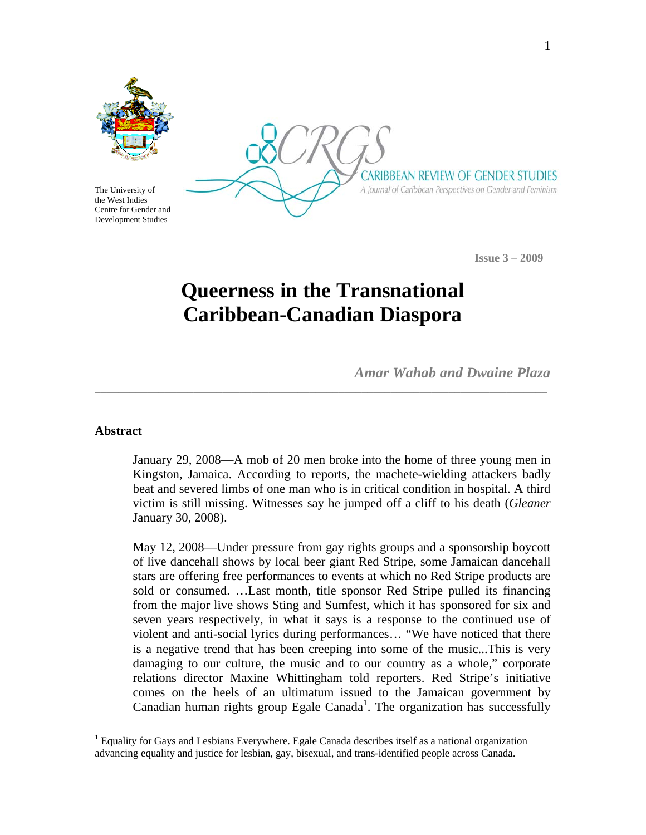

The University of the West Indies Centre for Gender and Development Studies

CARIBBEAN REVIEW OF GENDER STUDIES A Journal of Caribbean Perspectives on Gender and Feminism

 **Issue 3 – 2009** 

# **Queerness in the Transnational Caribbean-Canadian Diaspora**

**\_\_\_\_\_\_\_\_\_\_\_\_\_\_\_\_\_\_\_\_\_\_\_\_\_\_\_\_\_\_\_\_\_\_\_\_\_\_\_\_\_\_\_\_\_\_\_\_\_\_\_\_\_\_\_\_\_\_\_\_\_\_\_\_\_\_\_\_\_\_\_\_\_\_\_\_\_\_** 

*Amar Wahab and Dwaine Plaza* 

#### **Abstract**

1

January 29, 2008—A mob of 20 men broke into the home of three young men in Kingston, Jamaica. According to reports, the machete-wielding attackers badly beat and severed limbs of one man who is in critical condition in hospital. A third victim is still missing. Witnesses say he jumped off a cliff to his death (*Gleaner* January 30, 2008).

May 12, 2008—Under pressure from gay rights groups and a sponsorship boycott of live dancehall shows by local beer giant Red Stripe, some Jamaican dancehall stars are offering free performances to events at which no Red Stripe products are sold or consumed. …Last month, title sponsor Red Stripe pulled its financing from the major live shows Sting and Sumfest, which it has sponsored for six and seven years respectively, in what it says is a response to the continued use of violent and anti-social lyrics during performances… "We have noticed that there is a negative trend that has been creeping into some of the music...This is very damaging to our culture, the music and to our country as a whole," corporate relations director Maxine Whittingham told reporters. Red Stripe's initiative comes on the heels of an ultimatum issued to the Jamaican government by Canadian human rights group Egale Canada<sup>1</sup>. The organization has successfully

<sup>&</sup>lt;sup>1</sup> Equality for Gays and Lesbians Everywhere. Egale Canada describes itself as a national organization advancing equality and justice for lesbian, gay, bisexual, and trans-identified people across Canada.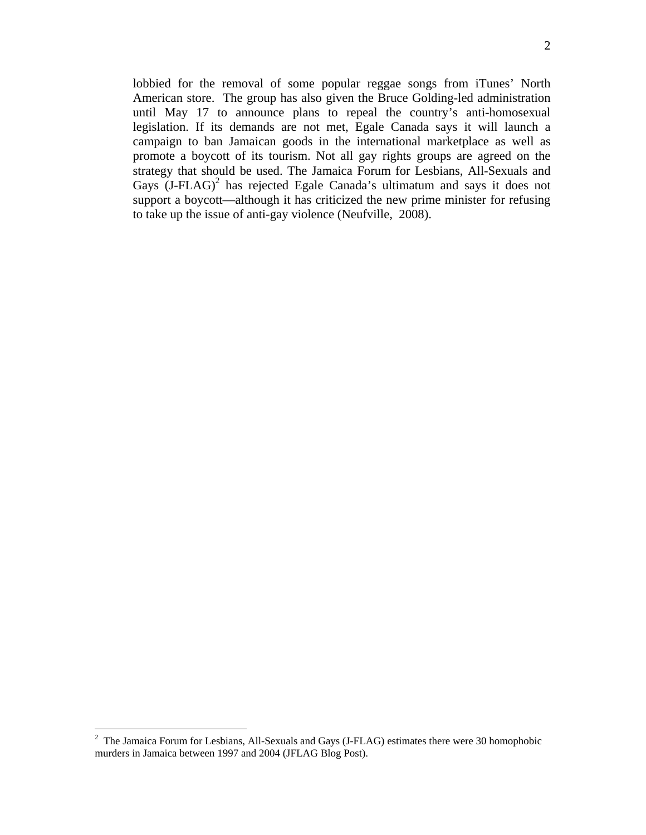lobbied for the removal of some popular reggae songs from iTunes' North American store. The group has also given the Bruce Golding-led administration until May 17 to announce plans to repeal the country's anti-homosexual legislation. If its demands are not met, Egale Canada says it will launch a campaign to ban Jamaican goods in the international marketplace as well as promote a boycott of its tourism. Not all gay rights groups are agreed on the strategy that should be used. The Jamaica Forum for Lesbians, All-Sexuals and Gays  $(J-FLAG)^2$  has rejected Egale Canada's ultimatum and says it does not support a boycott—although it has criticized the new prime minister for refusing to take up the issue of anti-gay violence (Neufville, 2008).

<sup>&</sup>lt;sup>2</sup> The Jamaica Forum for Lesbians, All-Sexuals and Gays (J-FLAG) estimates there were 30 homophobic murders in Jamaica between 1997 and 2004 (JFLAG Blog Post).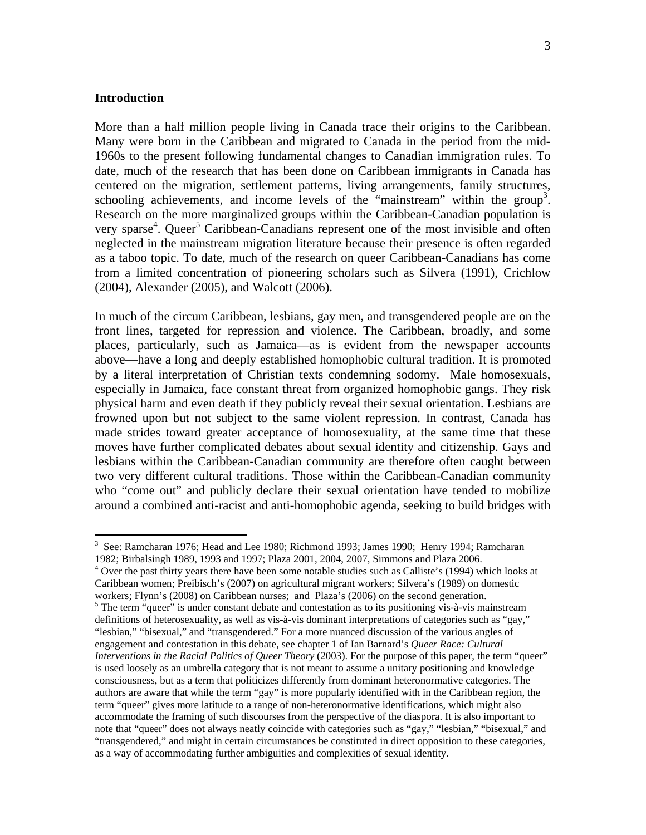## **Introduction**

 $\overline{a}$ 

More than a half million people living in Canada trace their origins to the Caribbean. Many were born in the Caribbean and migrated to Canada in the period from the mid-1960s to the present following fundamental changes to Canadian immigration rules. To date, much of the research that has been done on Caribbean immigrants in Canada has centered on the migration, settlement patterns, living arrangements, family structures, schooling achievements, and income levels of the "mainstream" within the group<sup>3</sup>. Research on the more marginalized groups within the Caribbean-Canadian population is very sparse<sup>4</sup>. Queer<sup>5</sup> Caribbean-Canadians represent one of the most invisible and often neglected in the mainstream migration literature because their presence is often regarded as a taboo topic. To date, much of the research on queer Caribbean-Canadians has come from a limited concentration of pioneering scholars such as Silvera (1991), Crichlow (2004), Alexander (2005), and Walcott (2006).

In much of the circum Caribbean, lesbians, gay men, and transgendered people are on the front lines, targeted for repression and violence. The Caribbean, broadly, and some places, particularly, such as Jamaica—as is evident from the newspaper accounts above—have a long and deeply established homophobic cultural tradition. It is promoted by a literal interpretation of Christian texts condemning sodomy. Male homosexuals, especially in Jamaica, face constant threat from organized homophobic gangs. They risk physical harm and even death if they publicly reveal their sexual orientation. Lesbians are frowned upon but not subject to the same violent repression. In contrast, Canada has made strides toward greater acceptance of homosexuality, at the same time that these moves have further complicated debates about sexual identity and citizenship. Gays and lesbians within the Caribbean-Canadian community are therefore often caught between two very different cultural traditions. Those within the Caribbean-Canadian community who "come out" and publicly declare their sexual orientation have tended to mobilize around a combined anti-racist and anti-homophobic agenda, seeking to build bridges with

<sup>&</sup>lt;sup>3</sup> See: Ramcharan 1976; Head and Lee 1980; Richmond 1993; James 1990; Henry 1994; Ramcharan 1982; Birbalsingh 1989, 1993 and 1997; Plaza 2001, 2004, 2007, Simmons and Plaza 2006. 4

<sup>&</sup>lt;sup>4</sup> Over the past thirty years there have been some notable studies such as Calliste's (1994) which looks at Caribbean women; Preibisch's (2007) on agricultural migrant workers; Silvera's (1989) on domestic workers; Flynn's (2008) on Caribbean nurses; and Plaza's (2006) on the second generation.<br><sup>5</sup> The term "queer" is under constant debate and contestation as to its positioning vis-à-vis mainstream definitions of heterosexuality, as well as vis-à-vis dominant interpretations of categories such as "gay," "lesbian," "bisexual," and "transgendered." For a more nuanced discussion of the various angles of engagement and contestation in this debate, see chapter 1 of Ian Barnard's *Queer Race: Cultural Interventions in the Racial Politics of Queer Theory (2003). For the purpose of this paper, the term "queer"* is used loosely as an umbrella category that is not meant to assume a unitary positioning and knowledge consciousness, but as a term that politicizes differently from dominant heteronormative categories. The authors are aware that while the term "gay" is more popularly identified with in the Caribbean region, the term "queer" gives more latitude to a range of non-heteronormative identifications, which might also accommodate the framing of such discourses from the perspective of the diaspora. It is also important to note that "queer" does not always neatly coincide with categories such as "gay," "lesbian," "bisexual," and "transgendered," and might in certain circumstances be constituted in direct opposition to these categories, as a way of accommodating further ambiguities and complexities of sexual identity.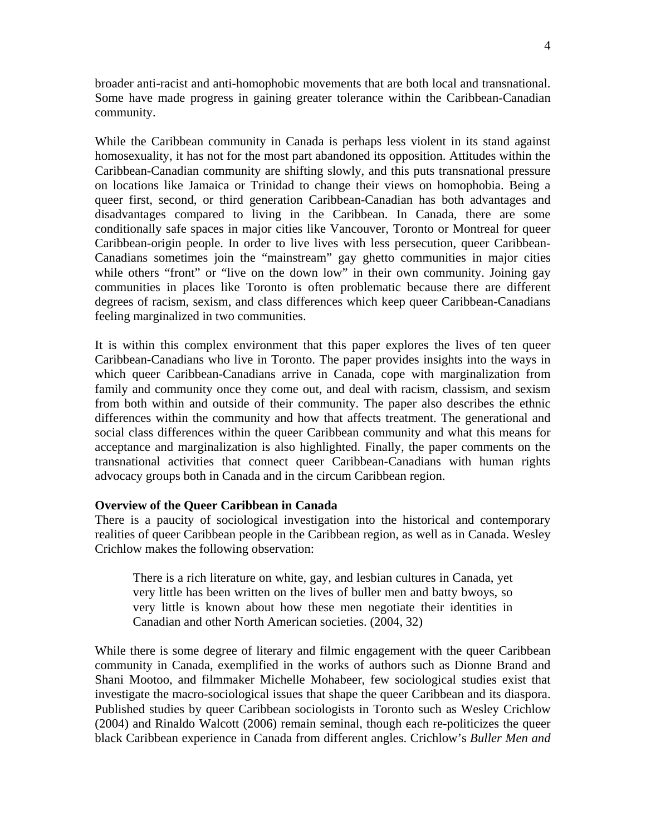broader anti-racist and anti-homophobic movements that are both local and transnational. Some have made progress in gaining greater tolerance within the Caribbean-Canadian community.

While the Caribbean community in Canada is perhaps less violent in its stand against homosexuality, it has not for the most part abandoned its opposition. Attitudes within the Caribbean-Canadian community are shifting slowly, and this puts transnational pressure on locations like Jamaica or Trinidad to change their views on homophobia. Being a queer first, second, or third generation Caribbean-Canadian has both advantages and disadvantages compared to living in the Caribbean. In Canada, there are some conditionally safe spaces in major cities like Vancouver, Toronto or Montreal for queer Caribbean-origin people. In order to live lives with less persecution, queer Caribbean-Canadians sometimes join the "mainstream" gay ghetto communities in major cities while others "front" or "live on the down low" in their own community. Joining gay communities in places like Toronto is often problematic because there are different degrees of racism, sexism, and class differences which keep queer Caribbean-Canadians feeling marginalized in two communities.

It is within this complex environment that this paper explores the lives of ten queer Caribbean-Canadians who live in Toronto. The paper provides insights into the ways in which queer Caribbean-Canadians arrive in Canada, cope with marginalization from family and community once they come out, and deal with racism, classism, and sexism from both within and outside of their community. The paper also describes the ethnic differences within the community and how that affects treatment. The generational and social class differences within the queer Caribbean community and what this means for acceptance and marginalization is also highlighted. Finally, the paper comments on the transnational activities that connect queer Caribbean-Canadians with human rights advocacy groups both in Canada and in the circum Caribbean region.

#### **Overview of the Queer Caribbean in Canada**

There is a paucity of sociological investigation into the historical and contemporary realities of queer Caribbean people in the Caribbean region, as well as in Canada. Wesley Crichlow makes the following observation:

There is a rich literature on white, gay, and lesbian cultures in Canada, yet very little has been written on the lives of buller men and batty bwoys, so very little is known about how these men negotiate their identities in Canadian and other North American societies. (2004, 32)

While there is some degree of literary and filmic engagement with the queer Caribbean community in Canada, exemplified in the works of authors such as Dionne Brand and Shani Mootoo, and filmmaker Michelle Mohabeer, few sociological studies exist that investigate the macro-sociological issues that shape the queer Caribbean and its diaspora. Published studies by queer Caribbean sociologists in Toronto such as Wesley Crichlow (2004) and Rinaldo Walcott (2006) remain seminal, though each re-politicizes the queer black Caribbean experience in Canada from different angles. Crichlow's *Buller Men and*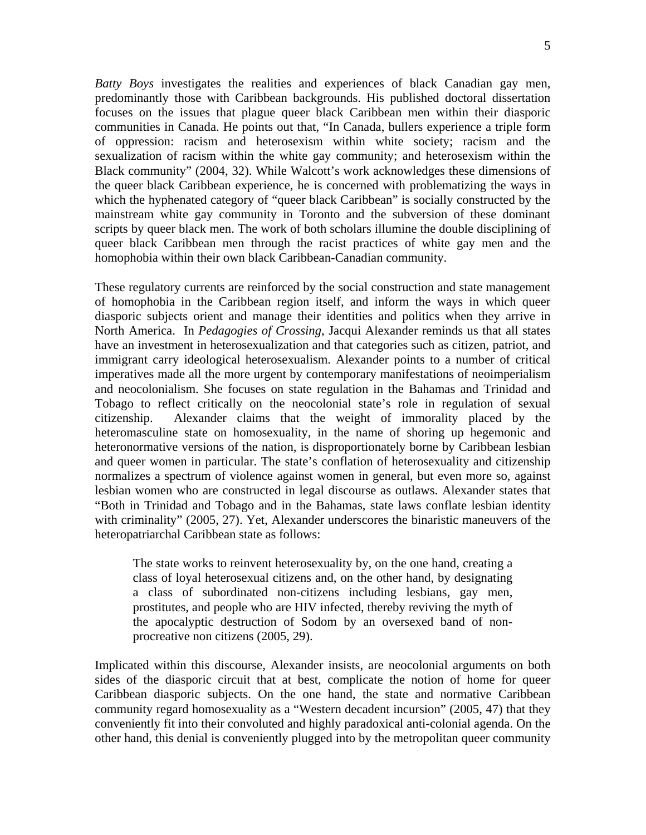*Batty Boys* investigates the realities and experiences of black Canadian gay men, predominantly those with Caribbean backgrounds. His published doctoral dissertation focuses on the issues that plague queer black Caribbean men within their diasporic communities in Canada. He points out that, "In Canada, bullers experience a triple form of oppression: racism and heterosexism within white society; racism and the sexualization of racism within the white gay community; and heterosexism within the Black community" (2004, 32). While Walcott's work acknowledges these dimensions of the queer black Caribbean experience, he is concerned with problematizing the ways in which the hyphenated category of "queer black Caribbean" is socially constructed by the mainstream white gay community in Toronto and the subversion of these dominant scripts by queer black men. The work of both scholars illumine the double disciplining of queer black Caribbean men through the racist practices of white gay men and the homophobia within their own black Caribbean-Canadian community.

These regulatory currents are reinforced by the social construction and state management of homophobia in the Caribbean region itself, and inform the ways in which queer diasporic subjects orient and manage their identities and politics when they arrive in North America. In *Pedagogies of Crossing*, Jacqui Alexander reminds us that all states have an investment in heterosexualization and that categories such as citizen, patriot, and immigrant carry ideological heterosexualism. Alexander points to a number of critical imperatives made all the more urgent by contemporary manifestations of neoimperialism and neocolonialism. She focuses on state regulation in the Bahamas and Trinidad and Tobago to reflect critically on the neocolonial state's role in regulation of sexual citizenship. Alexander claims that the weight of immorality placed by the heteromasculine state on homosexuality, in the name of shoring up hegemonic and heteronormative versions of the nation, is disproportionately borne by Caribbean lesbian and queer women in particular. The state's conflation of heterosexuality and citizenship normalizes a spectrum of violence against women in general, but even more so, against lesbian women who are constructed in legal discourse as outlaws. Alexander states that "Both in Trinidad and Tobago and in the Bahamas, state laws conflate lesbian identity with criminality" (2005, 27). Yet, Alexander underscores the binaristic maneuvers of the heteropatriarchal Caribbean state as follows:

The state works to reinvent heterosexuality by, on the one hand, creating a class of loyal heterosexual citizens and, on the other hand, by designating a class of subordinated non-citizens including lesbians, gay men, prostitutes, and people who are HIV infected, thereby reviving the myth of the apocalyptic destruction of Sodom by an oversexed band of nonprocreative non citizens (2005, 29).

Implicated within this discourse, Alexander insists, are neocolonial arguments on both sides of the diasporic circuit that at best, complicate the notion of home for queer Caribbean diasporic subjects. On the one hand, the state and normative Caribbean community regard homosexuality as a "Western decadent incursion" (2005, 47) that they conveniently fit into their convoluted and highly paradoxical anti-colonial agenda. On the other hand, this denial is conveniently plugged into by the metropolitan queer community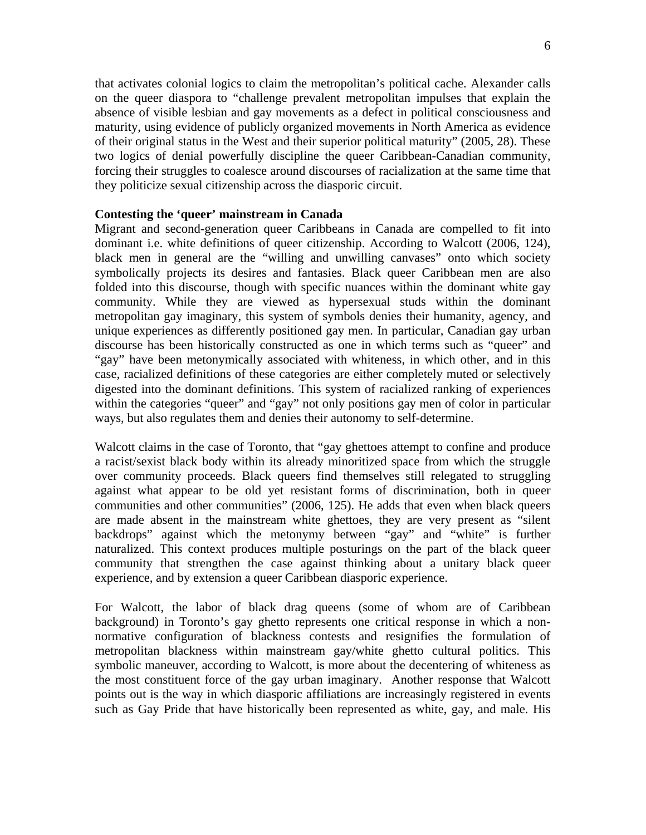that activates colonial logics to claim the metropolitan's political cache. Alexander calls on the queer diaspora to "challenge prevalent metropolitan impulses that explain the absence of visible lesbian and gay movements as a defect in political consciousness and maturity, using evidence of publicly organized movements in North America as evidence of their original status in the West and their superior political maturity" (2005, 28). These two logics of denial powerfully discipline the queer Caribbean-Canadian community, forcing their struggles to coalesce around discourses of racialization at the same time that they politicize sexual citizenship across the diasporic circuit.

## **Contesting the 'queer' mainstream in Canada**

Migrant and second-generation queer Caribbeans in Canada are compelled to fit into dominant i.e. white definitions of queer citizenship. According to Walcott (2006, 124), black men in general are the "willing and unwilling canvases" onto which society symbolically projects its desires and fantasies. Black queer Caribbean men are also folded into this discourse, though with specific nuances within the dominant white gay community. While they are viewed as hypersexual studs within the dominant metropolitan gay imaginary, this system of symbols denies their humanity, agency, and unique experiences as differently positioned gay men. In particular, Canadian gay urban discourse has been historically constructed as one in which terms such as "queer" and "gay" have been metonymically associated with whiteness, in which other, and in this case, racialized definitions of these categories are either completely muted or selectively digested into the dominant definitions. This system of racialized ranking of experiences within the categories "queer" and "gay" not only positions gay men of color in particular ways, but also regulates them and denies their autonomy to self-determine.

Walcott claims in the case of Toronto, that "gay ghettoes attempt to confine and produce a racist/sexist black body within its already minoritized space from which the struggle over community proceeds. Black queers find themselves still relegated to struggling against what appear to be old yet resistant forms of discrimination, both in queer communities and other communities" (2006, 125). He adds that even when black queers are made absent in the mainstream white ghettoes, they are very present as "silent backdrops" against which the metonymy between "gay" and "white" is further naturalized. This context produces multiple posturings on the part of the black queer community that strengthen the case against thinking about a unitary black queer experience, and by extension a queer Caribbean diasporic experience.

For Walcott, the labor of black drag queens (some of whom are of Caribbean background) in Toronto's gay ghetto represents one critical response in which a nonnormative configuration of blackness contests and resignifies the formulation of metropolitan blackness within mainstream gay/white ghetto cultural politics. This symbolic maneuver, according to Walcott, is more about the decentering of whiteness as the most constituent force of the gay urban imaginary. Another response that Walcott points out is the way in which diasporic affiliations are increasingly registered in events such as Gay Pride that have historically been represented as white, gay, and male. His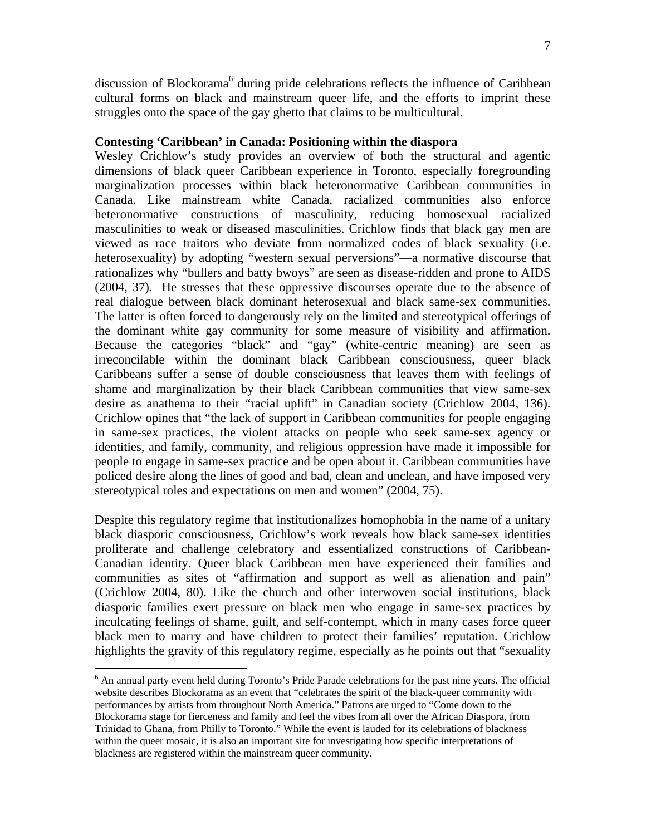discussion of Blockorama<sup>6</sup> during pride celebrations reflects the influence of Caribbean cultural forms on black and mainstream queer life, and the efforts to imprint these struggles onto the space of the gay ghetto that claims to be multicultural.

### **Contesting 'Caribbean' in Canada: Positioning within the diaspora**

Wesley Crichlow's study provides an overview of both the structural and agentic dimensions of black queer Caribbean experience in Toronto, especially foregrounding marginalization processes within black heteronormative Caribbean communities in Canada. Like mainstream white Canada, racialized communities also enforce heteronormative constructions of masculinity, reducing homosexual racialized masculinities to weak or diseased masculinities. Crichlow finds that black gay men are viewed as race traitors who deviate from normalized codes of black sexuality (i.e. heterosexuality) by adopting "western sexual perversions"—a normative discourse that rationalizes why "bullers and batty bwoys" are seen as disease-ridden and prone to AIDS (2004, 37). He stresses that these oppressive discourses operate due to the absence of real dialogue between black dominant heterosexual and black same-sex communities. The latter is often forced to dangerously rely on the limited and stereotypical offerings of the dominant white gay community for some measure of visibility and affirmation. Because the categories "black" and "gay" (white-centric meaning) are seen as irreconcilable within the dominant black Caribbean consciousness, queer black Caribbeans suffer a sense of double consciousness that leaves them with feelings of shame and marginalization by their black Caribbean communities that view same-sex desire as anathema to their "racial uplift" in Canadian society (Crichlow 2004, 136). Crichlow opines that "the lack of support in Caribbean communities for people engaging in same-sex practices, the violent attacks on people who seek same-sex agency or identities, and family, community, and religious oppression have made it impossible for people to engage in same-sex practice and be open about it. Caribbean communities have policed desire along the lines of good and bad, clean and unclean, and have imposed very stereotypical roles and expectations on men and women" (2004, 75).

Despite this regulatory regime that institutionalizes homophobia in the name of a unitary black diasporic consciousness, Crichlow's work reveals how black same-sex identities proliferate and challenge celebratory and essentialized constructions of Caribbean-Canadian identity. Queer black Caribbean men have experienced their families and communities as sites of "affirmation and support as well as alienation and pain" (Crichlow 2004, 80). Like the church and other interwoven social institutions, black diasporic families exert pressure on black men who engage in same-sex practices by inculcating feelings of shame, guilt, and self-contempt, which in many cases force queer black men to marry and have children to protect their families' reputation. Crichlow highlights the gravity of this regulatory regime, especially as he points out that "sexuality

 $\overline{a}$ 

<sup>&</sup>lt;sup>6</sup> An annual party event held during Toronto's Pride Parade celebrations for the past nine years. The official website describes Blockorama as an event that "celebrates the spirit of the black-queer community with performances by artists from throughout North America." Patrons are urged to "Come down to the Blockorama stage for fierceness and family and feel the vibes from all over the African Diaspora, from Trinidad to Ghana, from Philly to Toronto." While the event is lauded for its celebrations of blackness within the queer mosaic, it is also an important site for investigating how specific interpretations of blackness are registered within the mainstream queer community.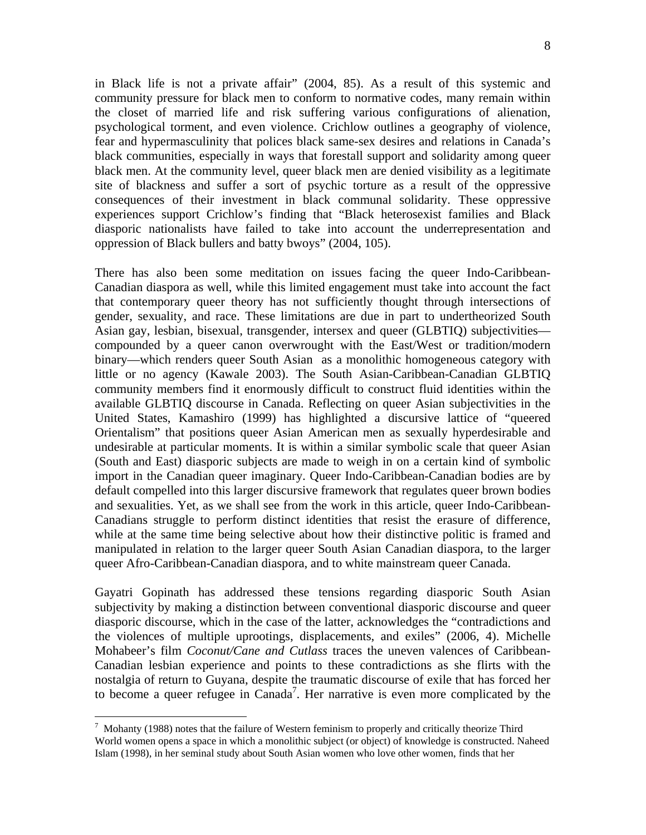in Black life is not a private affair" (2004, 85). As a result of this systemic and community pressure for black men to conform to normative codes, many remain within the closet of married life and risk suffering various configurations of alienation, psychological torment, and even violence. Crichlow outlines a geography of violence, fear and hypermasculinity that polices black same-sex desires and relations in Canada's black communities, especially in ways that forestall support and solidarity among queer black men. At the community level, queer black men are denied visibility as a legitimate site of blackness and suffer a sort of psychic torture as a result of the oppressive consequences of their investment in black communal solidarity. These oppressive experiences support Crichlow's finding that "Black heterosexist families and Black diasporic nationalists have failed to take into account the underrepresentation and oppression of Black bullers and batty bwoys" (2004, 105).

There has also been some meditation on issues facing the queer Indo-Caribbean-Canadian diaspora as well, while this limited engagement must take into account the fact that contemporary queer theory has not sufficiently thought through intersections of gender, sexuality, and race. These limitations are due in part to undertheorized South Asian gay, lesbian, bisexual, transgender, intersex and queer (GLBTIQ) subjectivities compounded by a queer canon overwrought with the East/West or tradition/modern binary—which renders queer South Asian as a monolithic homogeneous category with little or no agency (Kawale 2003). The South Asian-Caribbean-Canadian GLBTIQ community members find it enormously difficult to construct fluid identities within the available GLBTIQ discourse in Canada. Reflecting on queer Asian subjectivities in the United States, Kamashiro (1999) has highlighted a discursive lattice of "queered Orientalism" that positions queer Asian American men as sexually hyperdesirable and undesirable at particular moments. It is within a similar symbolic scale that queer Asian (South and East) diasporic subjects are made to weigh in on a certain kind of symbolic import in the Canadian queer imaginary. Queer Indo-Caribbean-Canadian bodies are by default compelled into this larger discursive framework that regulates queer brown bodies and sexualities. Yet, as we shall see from the work in this article, queer Indo-Caribbean-Canadians struggle to perform distinct identities that resist the erasure of difference, while at the same time being selective about how their distinctive politic is framed and manipulated in relation to the larger queer South Asian Canadian diaspora, to the larger queer Afro-Caribbean-Canadian diaspora, and to white mainstream queer Canada.

Gayatri Gopinath has addressed these tensions regarding diasporic South Asian subjectivity by making a distinction between conventional diasporic discourse and queer diasporic discourse, which in the case of the latter, acknowledges the "contradictions and the violences of multiple uprootings, displacements, and exiles" (2006, 4). Michelle Mohabeer's film *Coconut/Cane and Cutlass* traces the uneven valences of Caribbean-Canadian lesbian experience and points to these contradictions as she flirts with the nostalgia of return to Guyana, despite the traumatic discourse of exile that has forced her to become a queer refugee in Canada<sup>7</sup>. Her narrative is even more complicated by the

 $\overline{a}$ 

 $^7$  Mohanty (1988) notes that the failure of Western feminism to properly and critically theorize Third World women opens a space in which a monolithic subject (or object) of knowledge is constructed. Naheed Islam (1998), in her seminal study about South Asian women who love other women, finds that her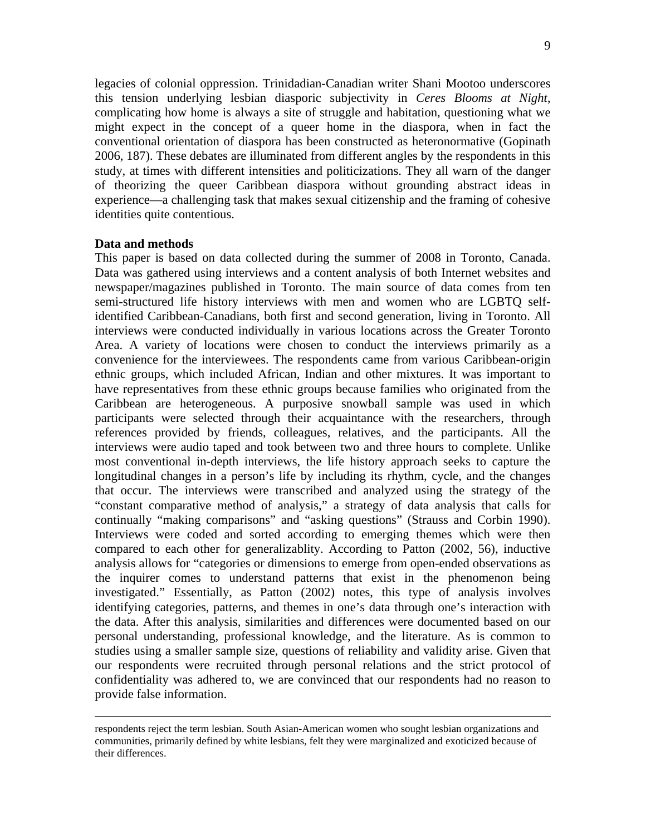legacies of colonial oppression. Trinidadian-Canadian writer Shani Mootoo underscores this tension underlying lesbian diasporic subjectivity in *Ceres Blooms at Night*, complicating how home is always a site of struggle and habitation, questioning what we might expect in the concept of a queer home in the diaspora, when in fact the conventional orientation of diaspora has been constructed as heteronormative (Gopinath 2006, 187). These debates are illuminated from different angles by the respondents in this study, at times with different intensities and politicizations. They all warn of the danger of theorizing the queer Caribbean diaspora without grounding abstract ideas in experience—a challenging task that makes sexual citizenship and the framing of cohesive identities quite contentious.

### **Data and methods**

This paper is based on data collected during the summer of 2008 in Toronto, Canada. Data was gathered using interviews and a content analysis of both Internet websites and newspaper/magazines published in Toronto. The main source of data comes from ten semi-structured life history interviews with men and women who are LGBTQ selfidentified Caribbean-Canadians, both first and second generation, living in Toronto. All interviews were conducted individually in various locations across the Greater Toronto Area. A variety of locations were chosen to conduct the interviews primarily as a convenience for the interviewees. The respondents came from various Caribbean-origin ethnic groups, which included African, Indian and other mixtures. It was important to have representatives from these ethnic groups because families who originated from the Caribbean are heterogeneous. A purposive snowball sample was used in which participants were selected through their acquaintance with the researchers, through references provided by friends, colleagues, relatives, and the participants. All the interviews were audio taped and took between two and three hours to complete. Unlike most conventional in-depth interviews, the life history approach seeks to capture the longitudinal changes in a person's life by including its rhythm, cycle, and the changes that occur. The interviews were transcribed and analyzed using the strategy of the "constant comparative method of analysis," a strategy of data analysis that calls for continually "making comparisons" and "asking questions" (Strauss and Corbin 1990). Interviews were coded and sorted according to emerging themes which were then compared to each other for generalizablity. According to Patton (2002, 56), inductive analysis allows for "categories or dimensions to emerge from open-ended observations as the inquirer comes to understand patterns that exist in the phenomenon being investigated." Essentially, as Patton (2002) notes, this type of analysis involves identifying categories, patterns, and themes in one's data through one's interaction with the data. After this analysis, similarities and differences were documented based on our personal understanding, professional knowledge, and the literature. As is common to studies using a smaller sample size, questions of reliability and validity arise. Given that our respondents were recruited through personal relations and the strict protocol of confidentiality was adhered to, we are convinced that our respondents had no reason to provide false information.

respondents reject the term lesbian. South Asian-American women who sought lesbian organizations and communities, primarily defined by white lesbians, felt they were marginalized and exoticized because of their differences.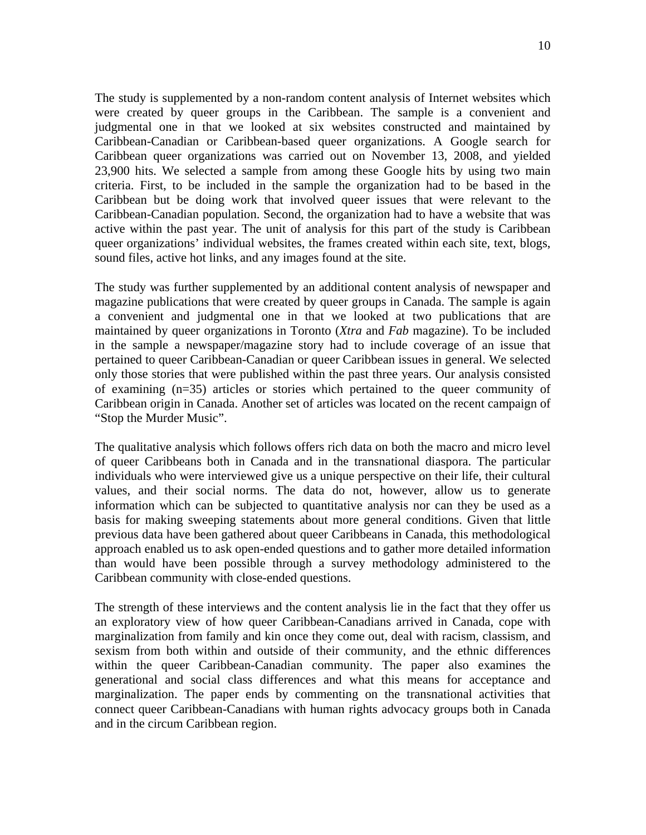The study is supplemented by a non-random content analysis of Internet websites which were created by queer groups in the Caribbean. The sample is a convenient and judgmental one in that we looked at six websites constructed and maintained by Caribbean-Canadian or Caribbean-based queer organizations. A Google search for Caribbean queer organizations was carried out on November 13, 2008, and yielded 23,900 hits. We selected a sample from among these Google hits by using two main criteria. First, to be included in the sample the organization had to be based in the Caribbean but be doing work that involved queer issues that were relevant to the Caribbean-Canadian population. Second, the organization had to have a website that was active within the past year. The unit of analysis for this part of the study is Caribbean queer organizations' individual websites, the frames created within each site, text, blogs, sound files, active hot links, and any images found at the site.

The study was further supplemented by an additional content analysis of newspaper and magazine publications that were created by queer groups in Canada. The sample is again a convenient and judgmental one in that we looked at two publications that are maintained by queer organizations in Toronto (*Xtra* and *Fab* magazine). To be included in the sample a newspaper/magazine story had to include coverage of an issue that pertained to queer Caribbean-Canadian or queer Caribbean issues in general. We selected only those stories that were published within the past three years. Our analysis consisted of examining (n=35) articles or stories which pertained to the queer community of Caribbean origin in Canada. Another set of articles was located on the recent campaign of "Stop the Murder Music".

The qualitative analysis which follows offers rich data on both the macro and micro level of queer Caribbeans both in Canada and in the transnational diaspora. The particular individuals who were interviewed give us a unique perspective on their life, their cultural values, and their social norms. The data do not, however, allow us to generate information which can be subjected to quantitative analysis nor can they be used as a basis for making sweeping statements about more general conditions. Given that little previous data have been gathered about queer Caribbeans in Canada, this methodological approach enabled us to ask open-ended questions and to gather more detailed information than would have been possible through a survey methodology administered to the Caribbean community with close-ended questions.

The strength of these interviews and the content analysis lie in the fact that they offer us an exploratory view of how queer Caribbean-Canadians arrived in Canada, cope with marginalization from family and kin once they come out, deal with racism, classism, and sexism from both within and outside of their community, and the ethnic differences within the queer Caribbean-Canadian community. The paper also examines the generational and social class differences and what this means for acceptance and marginalization. The paper ends by commenting on the transnational activities that connect queer Caribbean-Canadians with human rights advocacy groups both in Canada and in the circum Caribbean region.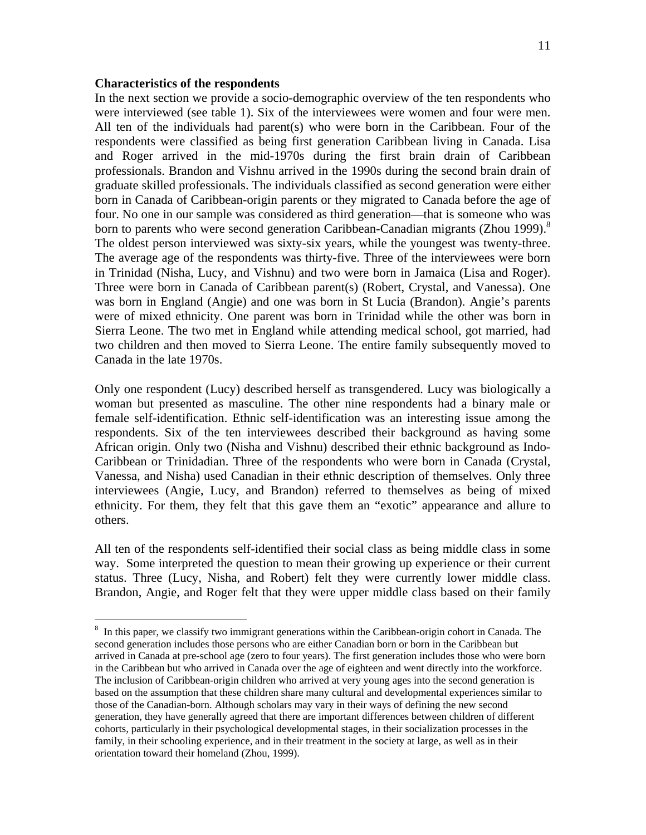#### **Characteristics of the respondents**

1

In the next section we provide a socio-demographic overview of the ten respondents who were interviewed (see table 1). Six of the interviewees were women and four were men. All ten of the individuals had parent(s) who were born in the Caribbean. Four of the respondents were classified as being first generation Caribbean living in Canada. Lisa and Roger arrived in the mid-1970s during the first brain drain of Caribbean professionals. Brandon and Vishnu arrived in the 1990s during the second brain drain of graduate skilled professionals. The individuals classified as second generation were either born in Canada of Caribbean-origin parents or they migrated to Canada before the age of four. No one in our sample was considered as third generation—that is someone who was born to parents who were second generation Caribbean-Canadian migrants (Zhou 1999).<sup>8</sup> The oldest person interviewed was sixty-six years, while the youngest was twenty-three. The average age of the respondents was thirty-five. Three of the interviewees were born in Trinidad (Nisha, Lucy, and Vishnu) and two were born in Jamaica (Lisa and Roger). Three were born in Canada of Caribbean parent(s) (Robert, Crystal, and Vanessa). One was born in England (Angie) and one was born in St Lucia (Brandon). Angie's parents were of mixed ethnicity. One parent was born in Trinidad while the other was born in Sierra Leone. The two met in England while attending medical school, got married, had two children and then moved to Sierra Leone. The entire family subsequently moved to Canada in the late 1970s.

Only one respondent (Lucy) described herself as transgendered. Lucy was biologically a woman but presented as masculine. The other nine respondents had a binary male or female self-identification. Ethnic self-identification was an interesting issue among the respondents. Six of the ten interviewees described their background as having some African origin. Only two (Nisha and Vishnu) described their ethnic background as Indo-Caribbean or Trinidadian. Three of the respondents who were born in Canada (Crystal, Vanessa, and Nisha) used Canadian in their ethnic description of themselves. Only three interviewees (Angie, Lucy, and Brandon) referred to themselves as being of mixed ethnicity. For them, they felt that this gave them an "exotic" appearance and allure to others.

All ten of the respondents self-identified their social class as being middle class in some way. Some interpreted the question to mean their growing up experience or their current status. Three (Lucy, Nisha, and Robert) felt they were currently lower middle class. Brandon, Angie, and Roger felt that they were upper middle class based on their family

<sup>&</sup>lt;sup>8</sup> In this paper, we classify two immigrant generations within the Caribbean-origin cohort in Canada. The second generation includes those persons who are either Canadian born or born in the Caribbean but arrived in Canada at pre-school age (zero to four years). The first generation includes those who were born in the Caribbean but who arrived in Canada over the age of eighteen and went directly into the workforce. The inclusion of Caribbean-origin children who arrived at very young ages into the second generation is based on the assumption that these children share many cultural and developmental experiences similar to those of the Canadian-born. Although scholars may vary in their ways of defining the new second generation, they have generally agreed that there are important differences between children of different cohorts, particularly in their psychological developmental stages, in their socialization processes in the family, in their schooling experience, and in their treatment in the society at large, as well as in their orientation toward their homeland (Zhou, 1999).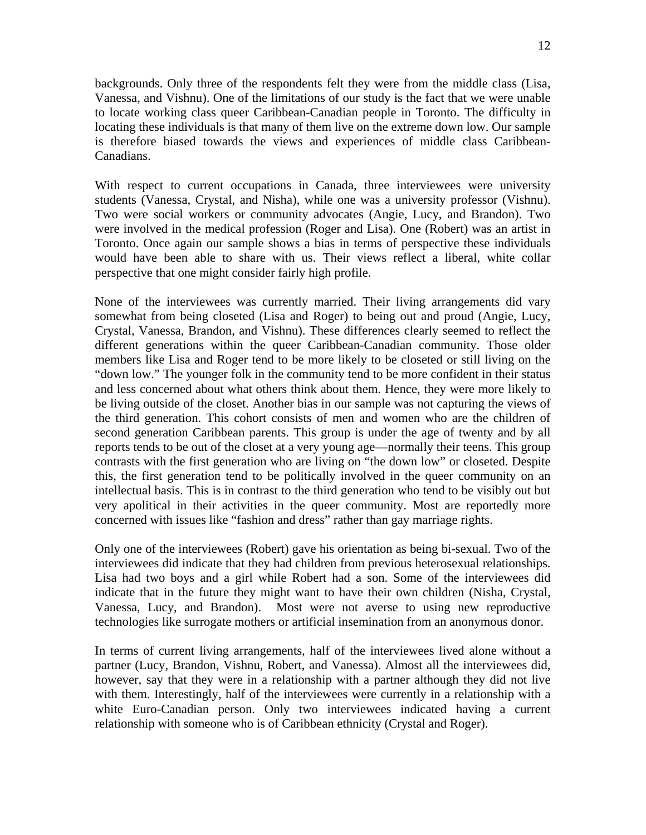backgrounds. Only three of the respondents felt they were from the middle class (Lisa, Vanessa, and Vishnu). One of the limitations of our study is the fact that we were unable to locate working class queer Caribbean-Canadian people in Toronto. The difficulty in locating these individuals is that many of them live on the extreme down low. Our sample is therefore biased towards the views and experiences of middle class Caribbean-Canadians.

With respect to current occupations in Canada, three interviewees were university students (Vanessa, Crystal, and Nisha), while one was a university professor (Vishnu). Two were social workers or community advocates (Angie, Lucy, and Brandon). Two were involved in the medical profession (Roger and Lisa). One (Robert) was an artist in Toronto. Once again our sample shows a bias in terms of perspective these individuals would have been able to share with us. Their views reflect a liberal, white collar perspective that one might consider fairly high profile.

None of the interviewees was currently married. Their living arrangements did vary somewhat from being closeted (Lisa and Roger) to being out and proud (Angie, Lucy, Crystal, Vanessa, Brandon, and Vishnu). These differences clearly seemed to reflect the different generations within the queer Caribbean-Canadian community. Those older members like Lisa and Roger tend to be more likely to be closeted or still living on the "down low." The younger folk in the community tend to be more confident in their status and less concerned about what others think about them. Hence, they were more likely to be living outside of the closet. Another bias in our sample was not capturing the views of the third generation. This cohort consists of men and women who are the children of second generation Caribbean parents. This group is under the age of twenty and by all reports tends to be out of the closet at a very young age—normally their teens. This group contrasts with the first generation who are living on "the down low" or closeted. Despite this, the first generation tend to be politically involved in the queer community on an intellectual basis. This is in contrast to the third generation who tend to be visibly out but very apolitical in their activities in the queer community. Most are reportedly more concerned with issues like "fashion and dress" rather than gay marriage rights.

Only one of the interviewees (Robert) gave his orientation as being bi-sexual. Two of the interviewees did indicate that they had children from previous heterosexual relationships. Lisa had two boys and a girl while Robert had a son. Some of the interviewees did indicate that in the future they might want to have their own children (Nisha, Crystal, Vanessa, Lucy, and Brandon). Most were not averse to using new reproductive technologies like surrogate mothers or artificial insemination from an anonymous donor.

In terms of current living arrangements, half of the interviewees lived alone without a partner (Lucy, Brandon, Vishnu, Robert, and Vanessa). Almost all the interviewees did, however, say that they were in a relationship with a partner although they did not live with them. Interestingly, half of the interviewees were currently in a relationship with a white Euro-Canadian person. Only two interviewees indicated having a current relationship with someone who is of Caribbean ethnicity (Crystal and Roger).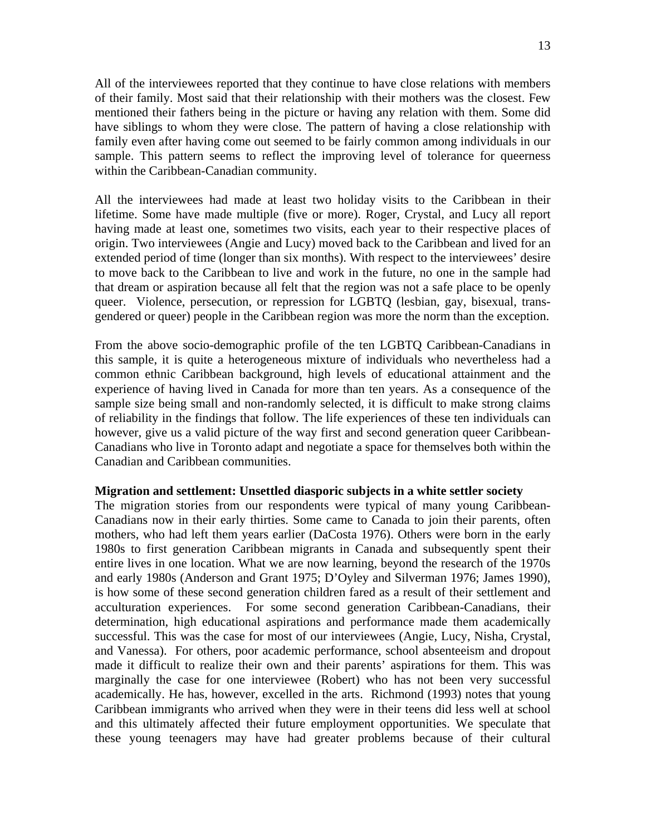All of the interviewees reported that they continue to have close relations with members of their family. Most said that their relationship with their mothers was the closest. Few mentioned their fathers being in the picture or having any relation with them. Some did have siblings to whom they were close. The pattern of having a close relationship with family even after having come out seemed to be fairly common among individuals in our sample. This pattern seems to reflect the improving level of tolerance for queerness within the Caribbean-Canadian community.

All the interviewees had made at least two holiday visits to the Caribbean in their lifetime. Some have made multiple (five or more). Roger, Crystal, and Lucy all report having made at least one, sometimes two visits, each year to their respective places of origin. Two interviewees (Angie and Lucy) moved back to the Caribbean and lived for an extended period of time (longer than six months). With respect to the interviewees' desire to move back to the Caribbean to live and work in the future, no one in the sample had that dream or aspiration because all felt that the region was not a safe place to be openly queer. Violence, persecution, or repression for LGBTQ (lesbian, gay, bisexual, transgendered or queer) people in the Caribbean region was more the norm than the exception.

From the above socio-demographic profile of the ten LGBTQ Caribbean-Canadians in this sample, it is quite a heterogeneous mixture of individuals who nevertheless had a common ethnic Caribbean background, high levels of educational attainment and the experience of having lived in Canada for more than ten years. As a consequence of the sample size being small and non-randomly selected, it is difficult to make strong claims of reliability in the findings that follow. The life experiences of these ten individuals can however, give us a valid picture of the way first and second generation queer Caribbean-Canadians who live in Toronto adapt and negotiate a space for themselves both within the Canadian and Caribbean communities.

#### **Migration and settlement: Unsettled diasporic subjects in a white settler society**

The migration stories from our respondents were typical of many young Caribbean-Canadians now in their early thirties. Some came to Canada to join their parents, often mothers, who had left them years earlier (DaCosta 1976). Others were born in the early 1980s to first generation Caribbean migrants in Canada and subsequently spent their entire lives in one location. What we are now learning, beyond the research of the 1970s and early 1980s (Anderson and Grant 1975; D'Oyley and Silverman 1976; James 1990), is how some of these second generation children fared as a result of their settlement and acculturation experiences. For some second generation Caribbean-Canadians, their determination, high educational aspirations and performance made them academically successful. This was the case for most of our interviewees (Angie, Lucy, Nisha, Crystal, and Vanessa). For others, poor academic performance, school absenteeism and dropout made it difficult to realize their own and their parents' aspirations for them. This was marginally the case for one interviewee (Robert) who has not been very successful academically. He has, however, excelled in the arts. Richmond (1993) notes that young Caribbean immigrants who arrived when they were in their teens did less well at school and this ultimately affected their future employment opportunities. We speculate that these young teenagers may have had greater problems because of their cultural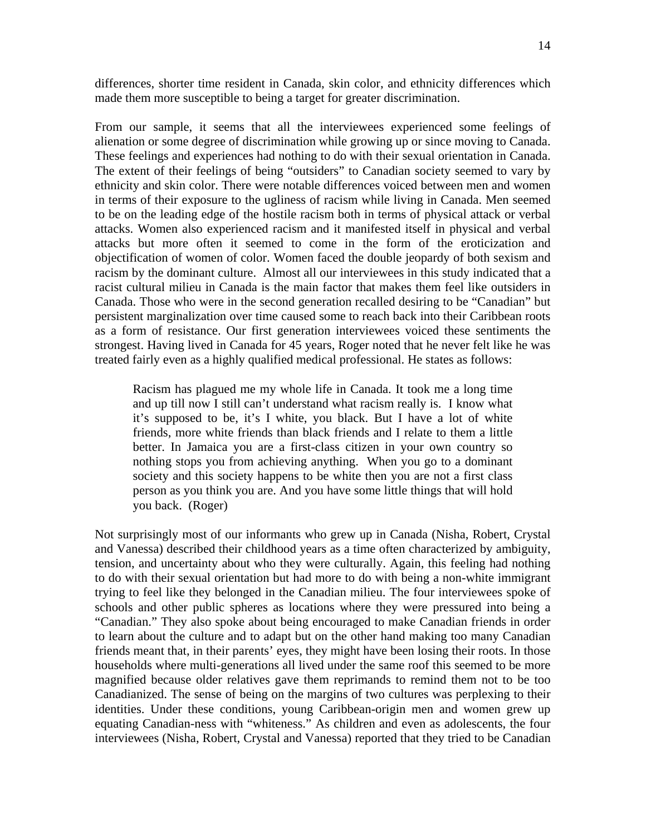differences, shorter time resident in Canada, skin color, and ethnicity differences which made them more susceptible to being a target for greater discrimination.

From our sample, it seems that all the interviewees experienced some feelings of alienation or some degree of discrimination while growing up or since moving to Canada. These feelings and experiences had nothing to do with their sexual orientation in Canada. The extent of their feelings of being "outsiders" to Canadian society seemed to vary by ethnicity and skin color. There were notable differences voiced between men and women in terms of their exposure to the ugliness of racism while living in Canada. Men seemed to be on the leading edge of the hostile racism both in terms of physical attack or verbal attacks. Women also experienced racism and it manifested itself in physical and verbal attacks but more often it seemed to come in the form of the eroticization and objectification of women of color. Women faced the double jeopardy of both sexism and racism by the dominant culture. Almost all our interviewees in this study indicated that a racist cultural milieu in Canada is the main factor that makes them feel like outsiders in Canada. Those who were in the second generation recalled desiring to be "Canadian" but persistent marginalization over time caused some to reach back into their Caribbean roots as a form of resistance. Our first generation interviewees voiced these sentiments the strongest. Having lived in Canada for 45 years, Roger noted that he never felt like he was treated fairly even as a highly qualified medical professional. He states as follows:

Racism has plagued me my whole life in Canada. It took me a long time and up till now I still can't understand what racism really is. I know what it's supposed to be, it's I white, you black. But I have a lot of white friends, more white friends than black friends and I relate to them a little better. In Jamaica you are a first-class citizen in your own country so nothing stops you from achieving anything. When you go to a dominant society and this society happens to be white then you are not a first class person as you think you are. And you have some little things that will hold you back. (Roger)

Not surprisingly most of our informants who grew up in Canada (Nisha, Robert, Crystal and Vanessa) described their childhood years as a time often characterized by ambiguity, tension, and uncertainty about who they were culturally. Again, this feeling had nothing to do with their sexual orientation but had more to do with being a non-white immigrant trying to feel like they belonged in the Canadian milieu. The four interviewees spoke of schools and other public spheres as locations where they were pressured into being a "Canadian." They also spoke about being encouraged to make Canadian friends in order to learn about the culture and to adapt but on the other hand making too many Canadian friends meant that, in their parents' eyes, they might have been losing their roots. In those households where multi-generations all lived under the same roof this seemed to be more magnified because older relatives gave them reprimands to remind them not to be too Canadianized. The sense of being on the margins of two cultures was perplexing to their identities. Under these conditions, young Caribbean-origin men and women grew up equating Canadian-ness with "whiteness." As children and even as adolescents, the four interviewees (Nisha, Robert, Crystal and Vanessa) reported that they tried to be Canadian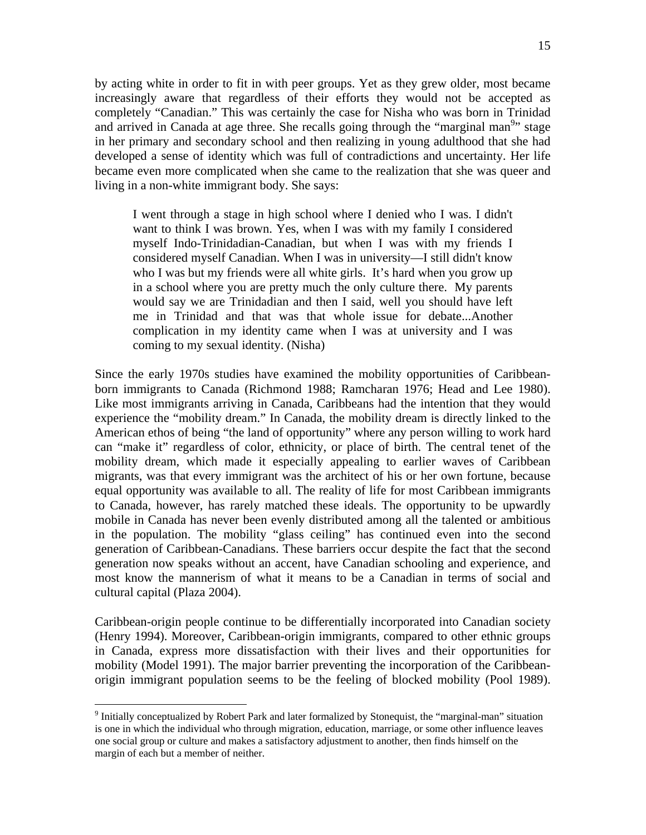by acting white in order to fit in with peer groups. Yet as they grew older, most became increasingly aware that regardless of their efforts they would not be accepted as completely "Canadian." This was certainly the case for Nisha who was born in Trinidad and arrived in Canada at age three. She recalls going through the "marginal man<sup>9</sup>" stage in her primary and secondary school and then realizing in young adulthood that she had developed a sense of identity which was full of contradictions and uncertainty. Her life became even more complicated when she came to the realization that she was queer and living in a non-white immigrant body. She says:

I went through a stage in high school where I denied who I was. I didn't want to think I was brown. Yes, when I was with my family I considered myself Indo-Trinidadian-Canadian, but when I was with my friends I considered myself Canadian. When I was in university—I still didn't know who I was but my friends were all white girls. It's hard when you grow up in a school where you are pretty much the only culture there. My parents would say we are Trinidadian and then I said, well you should have left me in Trinidad and that was that whole issue for debate...Another complication in my identity came when I was at university and I was coming to my sexual identity. (Nisha)

Since the early 1970s studies have examined the mobility opportunities of Caribbeanborn immigrants to Canada (Richmond 1988; Ramcharan 1976; Head and Lee 1980). Like most immigrants arriving in Canada, Caribbeans had the intention that they would experience the "mobility dream." In Canada, the mobility dream is directly linked to the American ethos of being "the land of opportunity" where any person willing to work hard can "make it" regardless of color, ethnicity, or place of birth. The central tenet of the mobility dream, which made it especially appealing to earlier waves of Caribbean migrants, was that every immigrant was the architect of his or her own fortune, because equal opportunity was available to all. The reality of life for most Caribbean immigrants to Canada, however, has rarely matched these ideals. The opportunity to be upwardly mobile in Canada has never been evenly distributed among all the talented or ambitious in the population. The mobility "glass ceiling" has continued even into the second generation of Caribbean-Canadians. These barriers occur despite the fact that the second generation now speaks without an accent, have Canadian schooling and experience, and most know the mannerism of what it means to be a Canadian in terms of social and cultural capital (Plaza 2004).

Caribbean-origin people continue to be differentially incorporated into Canadian society (Henry 1994). Moreover, Caribbean-origin immigrants, compared to other ethnic groups in Canada, express more dissatisfaction with their lives and their opportunities for mobility (Model 1991). The major barrier preventing the incorporation of the Caribbeanorigin immigrant population seems to be the feeling of blocked mobility (Pool 1989).

<u>.</u>

<sup>&</sup>lt;sup>9</sup> Initially conceptualized by Robert Park and later formalized by Stonequist, the "marginal-man" situation is one in which the individual who through migration, education, marriage, or some other influence leaves one social group or culture and makes a satisfactory adjustment to another, then finds himself on the margin of each but a member of neither.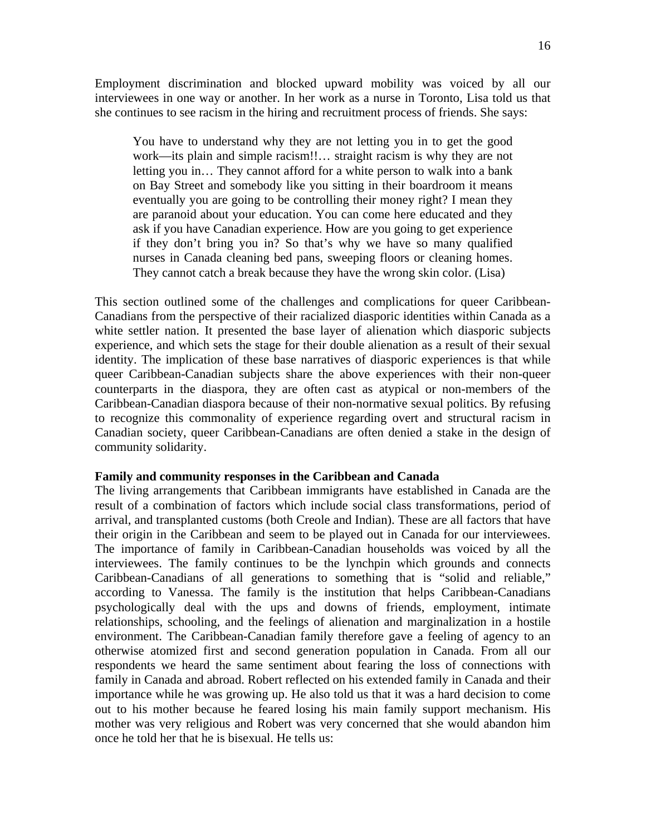Employment discrimination and blocked upward mobility was voiced by all our interviewees in one way or another. In her work as a nurse in Toronto, Lisa told us that she continues to see racism in the hiring and recruitment process of friends. She says:

You have to understand why they are not letting you in to get the good work—its plain and simple racism!!… straight racism is why they are not letting you in… They cannot afford for a white person to walk into a bank on Bay Street and somebody like you sitting in their boardroom it means eventually you are going to be controlling their money right? I mean they are paranoid about your education. You can come here educated and they ask if you have Canadian experience. How are you going to get experience if they don't bring you in? So that's why we have so many qualified nurses in Canada cleaning bed pans, sweeping floors or cleaning homes. They cannot catch a break because they have the wrong skin color. (Lisa)

This section outlined some of the challenges and complications for queer Caribbean-Canadians from the perspective of their racialized diasporic identities within Canada as a white settler nation. It presented the base layer of alienation which diasporic subjects experience, and which sets the stage for their double alienation as a result of their sexual identity. The implication of these base narratives of diasporic experiences is that while queer Caribbean-Canadian subjects share the above experiences with their non-queer counterparts in the diaspora, they are often cast as atypical or non-members of the Caribbean-Canadian diaspora because of their non-normative sexual politics. By refusing to recognize this commonality of experience regarding overt and structural racism in Canadian society, queer Caribbean-Canadians are often denied a stake in the design of community solidarity.

#### **Family and community responses in the Caribbean and Canada**

The living arrangements that Caribbean immigrants have established in Canada are the result of a combination of factors which include social class transformations, period of arrival, and transplanted customs (both Creole and Indian). These are all factors that have their origin in the Caribbean and seem to be played out in Canada for our interviewees. The importance of family in Caribbean-Canadian households was voiced by all the interviewees. The family continues to be the lynchpin which grounds and connects Caribbean-Canadians of all generations to something that is "solid and reliable," according to Vanessa. The family is the institution that helps Caribbean-Canadians psychologically deal with the ups and downs of friends, employment, intimate relationships, schooling, and the feelings of alienation and marginalization in a hostile environment. The Caribbean-Canadian family therefore gave a feeling of agency to an otherwise atomized first and second generation population in Canada. From all our respondents we heard the same sentiment about fearing the loss of connections with family in Canada and abroad. Robert reflected on his extended family in Canada and their importance while he was growing up. He also told us that it was a hard decision to come out to his mother because he feared losing his main family support mechanism. His mother was very religious and Robert was very concerned that she would abandon him once he told her that he is bisexual. He tells us: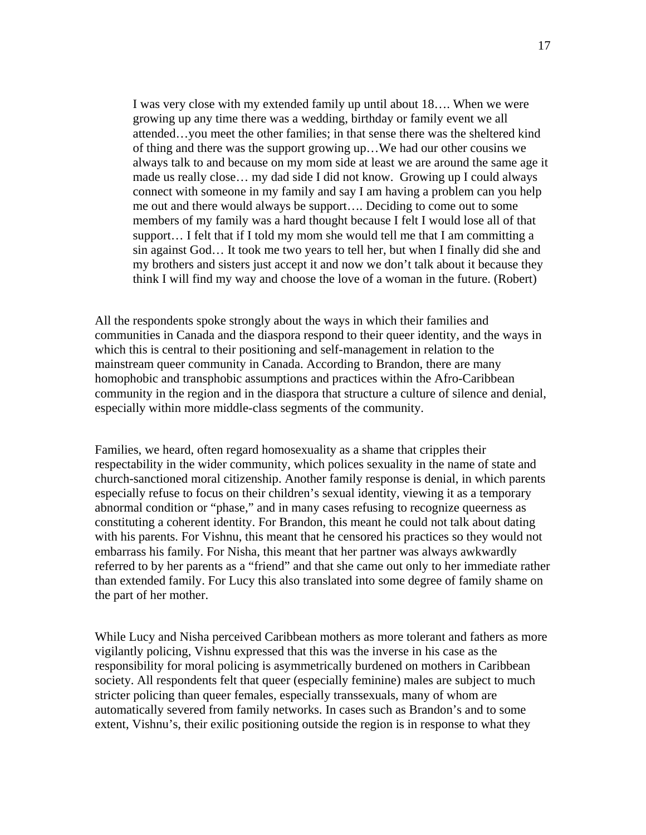I was very close with my extended family up until about 18…. When we were growing up any time there was a wedding, birthday or family event we all attended…you meet the other families; in that sense there was the sheltered kind of thing and there was the support growing up…We had our other cousins we always talk to and because on my mom side at least we are around the same age it made us really close… my dad side I did not know. Growing up I could always connect with someone in my family and say I am having a problem can you help me out and there would always be support…. Deciding to come out to some members of my family was a hard thought because I felt I would lose all of that support… I felt that if I told my mom she would tell me that I am committing a sin against God… It took me two years to tell her, but when I finally did she and my brothers and sisters just accept it and now we don't talk about it because they think I will find my way and choose the love of a woman in the future. (Robert)

All the respondents spoke strongly about the ways in which their families and communities in Canada and the diaspora respond to their queer identity, and the ways in which this is central to their positioning and self-management in relation to the mainstream queer community in Canada. According to Brandon, there are many homophobic and transphobic assumptions and practices within the Afro-Caribbean community in the region and in the diaspora that structure a culture of silence and denial, especially within more middle-class segments of the community.

Families, we heard, often regard homosexuality as a shame that cripples their respectability in the wider community, which polices sexuality in the name of state and church-sanctioned moral citizenship. Another family response is denial, in which parents especially refuse to focus on their children's sexual identity, viewing it as a temporary abnormal condition or "phase," and in many cases refusing to recognize queerness as constituting a coherent identity. For Brandon, this meant he could not talk about dating with his parents. For Vishnu, this meant that he censored his practices so they would not embarrass his family. For Nisha, this meant that her partner was always awkwardly referred to by her parents as a "friend" and that she came out only to her immediate rather than extended family. For Lucy this also translated into some degree of family shame on the part of her mother.

While Lucy and Nisha perceived Caribbean mothers as more tolerant and fathers as more vigilantly policing, Vishnu expressed that this was the inverse in his case as the responsibility for moral policing is asymmetrically burdened on mothers in Caribbean society. All respondents felt that queer (especially feminine) males are subject to much stricter policing than queer females, especially transsexuals, many of whom are automatically severed from family networks. In cases such as Brandon's and to some extent, Vishnu's, their exilic positioning outside the region is in response to what they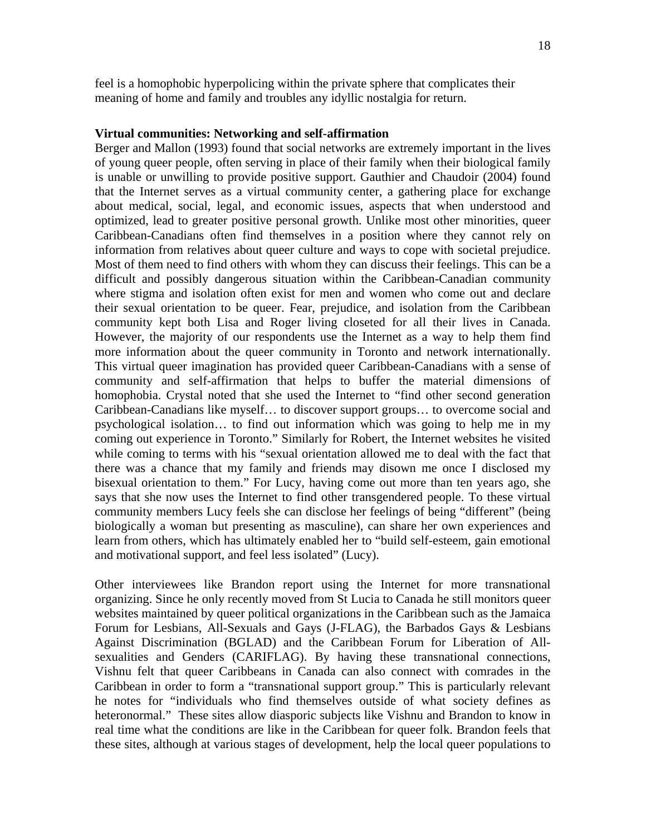#### **Virtual communities: Networking and self-affirmation**

Berger and Mallon (1993) found that social networks are extremely important in the lives of young queer people, often serving in place of their family when their biological family is unable or unwilling to provide positive support. Gauthier and Chaudoir (2004) found that the Internet serves as a virtual community center, a gathering place for exchange about medical, social, legal, and economic issues, aspects that when understood and optimized, lead to greater positive personal growth. Unlike most other minorities, queer Caribbean-Canadians often find themselves in a position where they cannot rely on information from relatives about queer culture and ways to cope with societal prejudice. Most of them need to find others with whom they can discuss their feelings. This can be a difficult and possibly dangerous situation within the Caribbean-Canadian community where stigma and isolation often exist for men and women who come out and declare their sexual orientation to be queer. Fear, prejudice, and isolation from the Caribbean community kept both Lisa and Roger living closeted for all their lives in Canada. However, the majority of our respondents use the Internet as a way to help them find more information about the queer community in Toronto and network internationally. This virtual queer imagination has provided queer Caribbean-Canadians with a sense of community and self-affirmation that helps to buffer the material dimensions of homophobia. Crystal noted that she used the Internet to "find other second generation Caribbean-Canadians like myself… to discover support groups… to overcome social and psychological isolation… to find out information which was going to help me in my coming out experience in Toronto." Similarly for Robert, the Internet websites he visited while coming to terms with his "sexual orientation allowed me to deal with the fact that there was a chance that my family and friends may disown me once I disclosed my bisexual orientation to them." For Lucy, having come out more than ten years ago, she says that she now uses the Internet to find other transgendered people. To these virtual community members Lucy feels she can disclose her feelings of being "different" (being biologically a woman but presenting as masculine), can share her own experiences and learn from others, which has ultimately enabled her to "build self-esteem, gain emotional and motivational support, and feel less isolated" (Lucy).

Other interviewees like Brandon report using the Internet for more transnational organizing. Since he only recently moved from St Lucia to Canada he still monitors queer websites maintained by queer political organizations in the Caribbean such as the Jamaica Forum for Lesbians, All-Sexuals and Gays (J-FLAG), the Barbados Gays & Lesbians Against Discrimination (BGLAD) and the Caribbean Forum for Liberation of Allsexualities and Genders (CARIFLAG). By having these transnational connections, Vishnu felt that queer Caribbeans in Canada can also connect with comrades in the Caribbean in order to form a "transnational support group." This is particularly relevant he notes for "individuals who find themselves outside of what society defines as heteronormal." These sites allow diasporic subjects like Vishnu and Brandon to know in real time what the conditions are like in the Caribbean for queer folk. Brandon feels that these sites, although at various stages of development, help the local queer populations to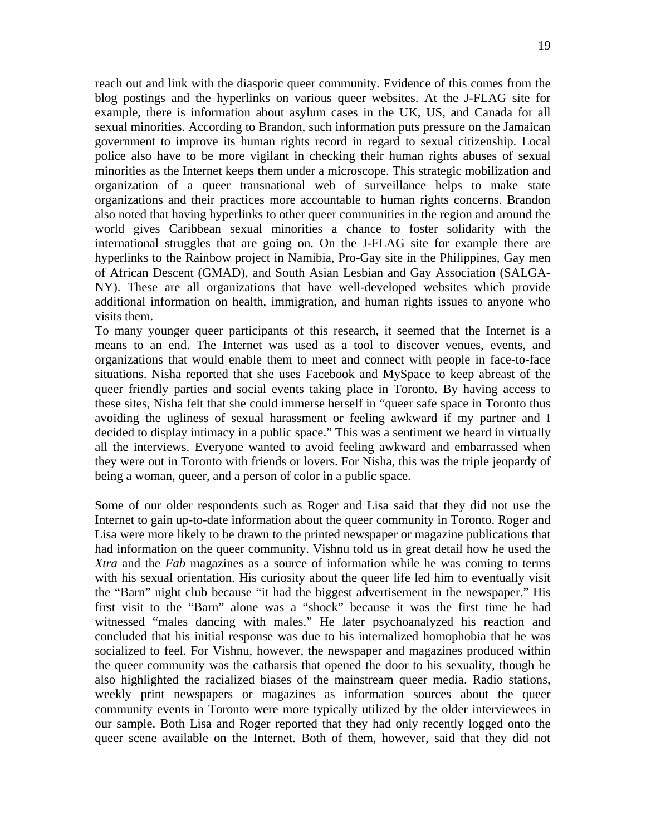reach out and link with the diasporic queer community. Evidence of this comes from the blog postings and the hyperlinks on various queer websites. At the J-FLAG site for example, there is information about asylum cases in the UK, US, and Canada for all sexual minorities. According to Brandon, such information puts pressure on the Jamaican government to improve its human rights record in regard to sexual citizenship. Local police also have to be more vigilant in checking their human rights abuses of sexual minorities as the Internet keeps them under a microscope. This strategic mobilization and organization of a queer transnational web of surveillance helps to make state organizations and their practices more accountable to human rights concerns. Brandon also noted that having hyperlinks to other queer communities in the region and around the world gives Caribbean sexual minorities a chance to foster solidarity with the international struggles that are going on. On the J-FLAG site for example there are hyperlinks to the Rainbow project in Namibia, Pro-Gay site in the Philippines, Gay men of African Descent (GMAD), and South Asian Lesbian and Gay Association (SALGA-NY). These are all organizations that have well-developed websites which provide additional information on health, immigration, and human rights issues to anyone who visits them.

To many younger queer participants of this research, it seemed that the Internet is a means to an end. The Internet was used as a tool to discover venues, events, and organizations that would enable them to meet and connect with people in face-to-face situations. Nisha reported that she uses Facebook and MySpace to keep abreast of the queer friendly parties and social events taking place in Toronto. By having access to these sites, Nisha felt that she could immerse herself in "queer safe space in Toronto thus avoiding the ugliness of sexual harassment or feeling awkward if my partner and I decided to display intimacy in a public space." This was a sentiment we heard in virtually all the interviews. Everyone wanted to avoid feeling awkward and embarrassed when they were out in Toronto with friends or lovers. For Nisha, this was the triple jeopardy of being a woman, queer, and a person of color in a public space.

Some of our older respondents such as Roger and Lisa said that they did not use the Internet to gain up-to-date information about the queer community in Toronto. Roger and Lisa were more likely to be drawn to the printed newspaper or magazine publications that had information on the queer community. Vishnu told us in great detail how he used the *Xtra* and the *Fab* magazines as a source of information while he was coming to terms with his sexual orientation. His curiosity about the queer life led him to eventually visit the "Barn" night club because "it had the biggest advertisement in the newspaper." His first visit to the "Barn" alone was a "shock" because it was the first time he had witnessed "males dancing with males." He later psychoanalyzed his reaction and concluded that his initial response was due to his internalized homophobia that he was socialized to feel. For Vishnu, however, the newspaper and magazines produced within the queer community was the catharsis that opened the door to his sexuality, though he also highlighted the racialized biases of the mainstream queer media. Radio stations, weekly print newspapers or magazines as information sources about the queer community events in Toronto were more typically utilized by the older interviewees in our sample. Both Lisa and Roger reported that they had only recently logged onto the queer scene available on the Internet. Both of them, however, said that they did not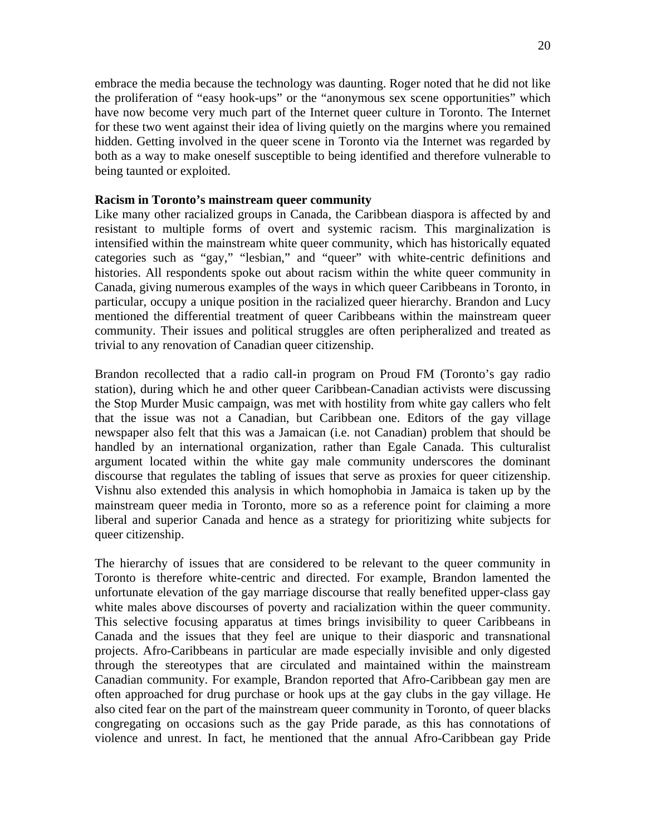embrace the media because the technology was daunting. Roger noted that he did not like the proliferation of "easy hook-ups" or the "anonymous sex scene opportunities" which have now become very much part of the Internet queer culture in Toronto. The Internet for these two went against their idea of living quietly on the margins where you remained hidden. Getting involved in the queer scene in Toronto via the Internet was regarded by both as a way to make oneself susceptible to being identified and therefore vulnerable to being taunted or exploited.

## **Racism in Toronto's mainstream queer community**

Like many other racialized groups in Canada, the Caribbean diaspora is affected by and resistant to multiple forms of overt and systemic racism. This marginalization is intensified within the mainstream white queer community, which has historically equated categories such as "gay," "lesbian," and "queer" with white-centric definitions and histories. All respondents spoke out about racism within the white queer community in Canada, giving numerous examples of the ways in which queer Caribbeans in Toronto, in particular, occupy a unique position in the racialized queer hierarchy. Brandon and Lucy mentioned the differential treatment of queer Caribbeans within the mainstream queer community. Their issues and political struggles are often peripheralized and treated as trivial to any renovation of Canadian queer citizenship.

Brandon recollected that a radio call-in program on Proud FM (Toronto's gay radio station), during which he and other queer Caribbean-Canadian activists were discussing the Stop Murder Music campaign, was met with hostility from white gay callers who felt that the issue was not a Canadian, but Caribbean one. Editors of the gay village newspaper also felt that this was a Jamaican (i.e. not Canadian) problem that should be handled by an international organization, rather than Egale Canada. This culturalist argument located within the white gay male community underscores the dominant discourse that regulates the tabling of issues that serve as proxies for queer citizenship. Vishnu also extended this analysis in which homophobia in Jamaica is taken up by the mainstream queer media in Toronto, more so as a reference point for claiming a more liberal and superior Canada and hence as a strategy for prioritizing white subjects for queer citizenship.

The hierarchy of issues that are considered to be relevant to the queer community in Toronto is therefore white-centric and directed. For example, Brandon lamented the unfortunate elevation of the gay marriage discourse that really benefited upper-class gay white males above discourses of poverty and racialization within the queer community. This selective focusing apparatus at times brings invisibility to queer Caribbeans in Canada and the issues that they feel are unique to their diasporic and transnational projects. Afro-Caribbeans in particular are made especially invisible and only digested through the stereotypes that are circulated and maintained within the mainstream Canadian community. For example, Brandon reported that Afro-Caribbean gay men are often approached for drug purchase or hook ups at the gay clubs in the gay village. He also cited fear on the part of the mainstream queer community in Toronto, of queer blacks congregating on occasions such as the gay Pride parade, as this has connotations of violence and unrest. In fact, he mentioned that the annual Afro-Caribbean gay Pride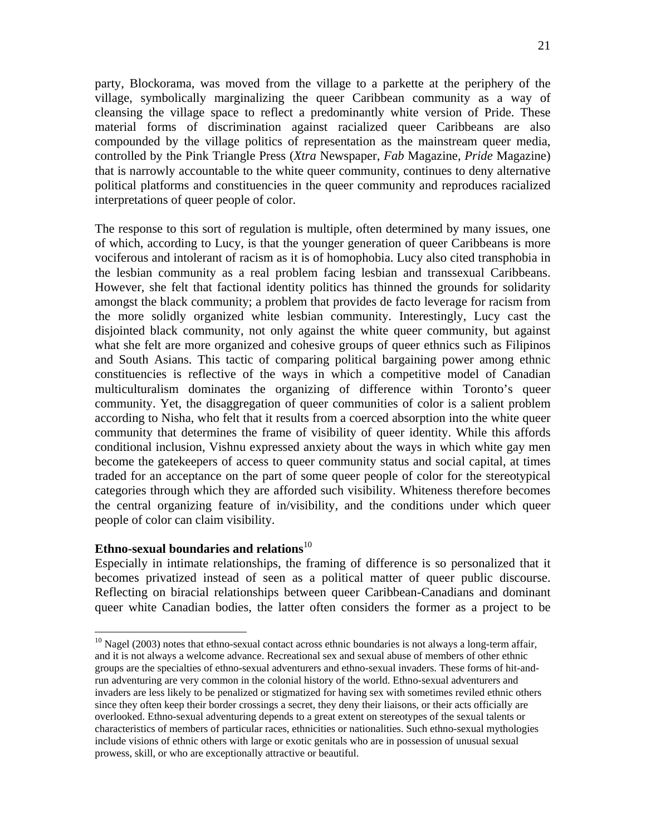party, Blockorama, was moved from the village to a parkette at the periphery of the village, symbolically marginalizing the queer Caribbean community as a way of cleansing the village space to reflect a predominantly white version of Pride. These material forms of discrimination against racialized queer Caribbeans are also compounded by the village politics of representation as the mainstream queer media, controlled by the Pink Triangle Press (*Xtra* Newspaper, *Fab* Magazine, *Pride* Magazine) that is narrowly accountable to the white queer community, continues to deny alternative political platforms and constituencies in the queer community and reproduces racialized interpretations of queer people of color.

The response to this sort of regulation is multiple, often determined by many issues, one of which, according to Lucy, is that the younger generation of queer Caribbeans is more vociferous and intolerant of racism as it is of homophobia. Lucy also cited transphobia in the lesbian community as a real problem facing lesbian and transsexual Caribbeans. However, she felt that factional identity politics has thinned the grounds for solidarity amongst the black community; a problem that provides de facto leverage for racism from the more solidly organized white lesbian community. Interestingly, Lucy cast the disjointed black community, not only against the white queer community, but against what she felt are more organized and cohesive groups of queer ethnics such as Filipinos and South Asians. This tactic of comparing political bargaining power among ethnic constituencies is reflective of the ways in which a competitive model of Canadian multiculturalism dominates the organizing of difference within Toronto's queer community. Yet, the disaggregation of queer communities of color is a salient problem according to Nisha, who felt that it results from a coerced absorption into the white queer community that determines the frame of visibility of queer identity. While this affords conditional inclusion, Vishnu expressed anxiety about the ways in which white gay men become the gatekeepers of access to queer community status and social capital, at times traded for an acceptance on the part of some queer people of color for the stereotypical categories through which they are afforded such visibility. Whiteness therefore becomes the central organizing feature of in/visibility, and the conditions under which queer people of color can claim visibility.

## Ethno-sexual boundaries and relations<sup>10</sup>

 $\overline{a}$ 

Especially in intimate relationships, the framing of difference is so personalized that it becomes privatized instead of seen as a political matter of queer public discourse. Reflecting on biracial relationships between queer Caribbean-Canadians and dominant queer white Canadian bodies, the latter often considers the former as a project to be

 $10$  Nagel (2003) notes that ethno-sexual contact across ethnic boundaries is not always a long-term affair, and it is not always a welcome advance. Recreational sex and sexual abuse of members of other ethnic groups are the specialties of ethno-sexual adventurers and ethno-sexual invaders. These forms of hit-andrun adventuring are very common in the colonial history of the world. Ethno-sexual adventurers and invaders are less likely to be penalized or stigmatized for having sex with sometimes reviled ethnic others since they often keep their border crossings a secret, they deny their liaisons, or their acts officially are overlooked. Ethno-sexual adventuring depends to a great extent on stereotypes of the sexual talents or characteristics of members of particular races, ethnicities or nationalities. Such ethno-sexual mythologies include visions of ethnic others with large or exotic genitals who are in possession of unusual sexual prowess, skill, or who are exceptionally attractive or beautiful.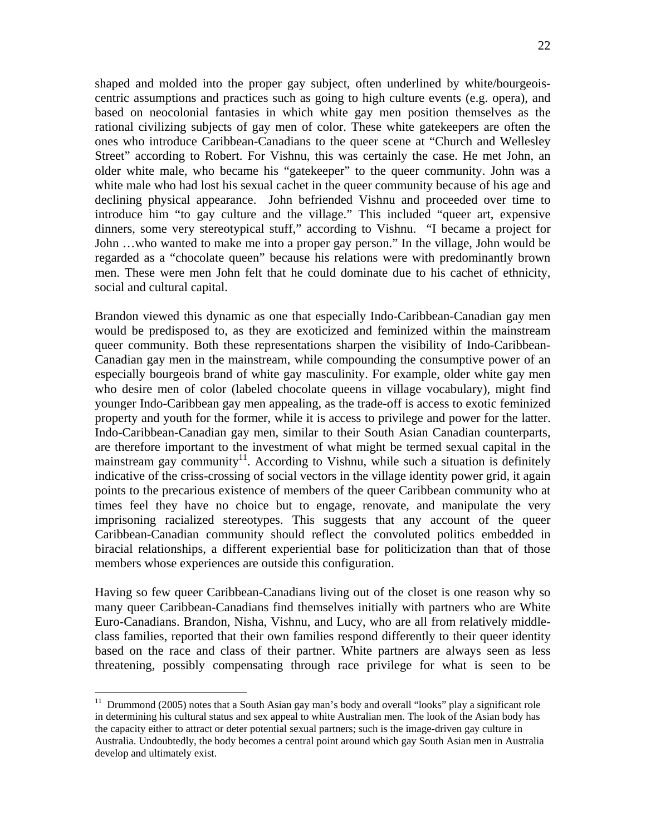shaped and molded into the proper gay subject, often underlined by white/bourgeoiscentric assumptions and practices such as going to high culture events (e.g. opera), and based on neocolonial fantasies in which white gay men position themselves as the rational civilizing subjects of gay men of color. These white gatekeepers are often the ones who introduce Caribbean-Canadians to the queer scene at "Church and Wellesley Street" according to Robert. For Vishnu, this was certainly the case. He met John, an older white male, who became his "gatekeeper" to the queer community. John was a white male who had lost his sexual cachet in the queer community because of his age and declining physical appearance. John befriended Vishnu and proceeded over time to introduce him "to gay culture and the village." This included "queer art, expensive dinners, some very stereotypical stuff," according to Vishnu. "I became a project for John …who wanted to make me into a proper gay person." In the village, John would be regarded as a "chocolate queen" because his relations were with predominantly brown men. These were men John felt that he could dominate due to his cachet of ethnicity, social and cultural capital.

Brandon viewed this dynamic as one that especially Indo-Caribbean-Canadian gay men would be predisposed to, as they are exoticized and feminized within the mainstream queer community. Both these representations sharpen the visibility of Indo-Caribbean-Canadian gay men in the mainstream, while compounding the consumptive power of an especially bourgeois brand of white gay masculinity. For example, older white gay men who desire men of color (labeled chocolate queens in village vocabulary), might find younger Indo-Caribbean gay men appealing, as the trade-off is access to exotic feminized property and youth for the former, while it is access to privilege and power for the latter. Indo-Caribbean-Canadian gay men, similar to their South Asian Canadian counterparts, are therefore important to the investment of what might be termed sexual capital in the mainstream gay community<sup>11</sup>. According to Vishnu, while such a situation is definitely indicative of the criss-crossing of social vectors in the village identity power grid, it again points to the precarious existence of members of the queer Caribbean community who at times feel they have no choice but to engage, renovate, and manipulate the very imprisoning racialized stereotypes. This suggests that any account of the queer Caribbean-Canadian community should reflect the convoluted politics embedded in biracial relationships, a different experiential base for politicization than that of those members whose experiences are outside this configuration.

Having so few queer Caribbean-Canadians living out of the closet is one reason why so many queer Caribbean-Canadians find themselves initially with partners who are White Euro-Canadians. Brandon, Nisha, Vishnu, and Lucy, who are all from relatively middleclass families, reported that their own families respond differently to their queer identity based on the race and class of their partner. White partners are always seen as less threatening, possibly compensating through race privilege for what is seen to be

 $\overline{a}$ 

 $11$  Drummond (2005) notes that a South Asian gay man's body and overall "looks" play a significant role in determining his cultural status and sex appeal to white Australian men. The look of the Asian body has the capacity either to attract or deter potential sexual partners; such is the image-driven gay culture in Australia. Undoubtedly, the body becomes a central point around which gay South Asian men in Australia develop and ultimately exist.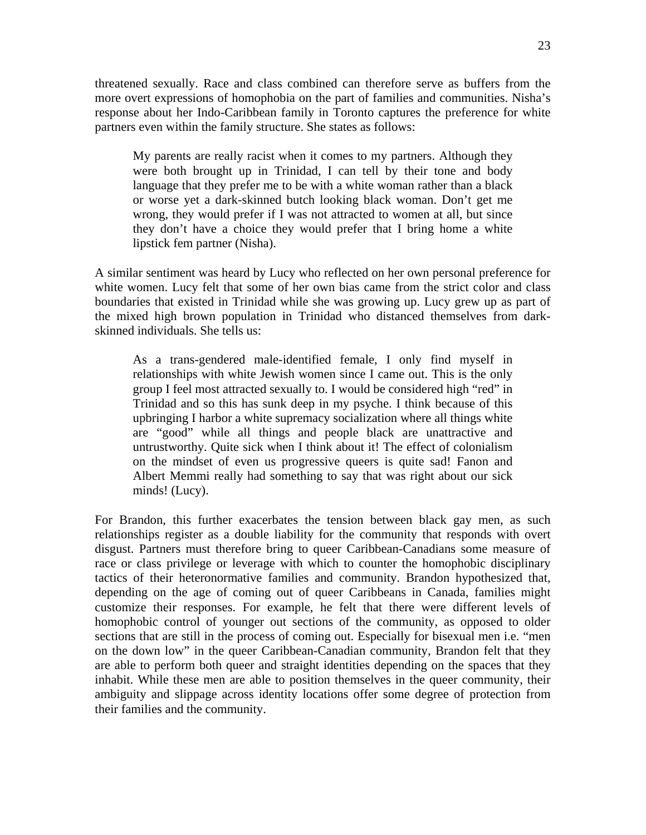threatened sexually. Race and class combined can therefore serve as buffers from the more overt expressions of homophobia on the part of families and communities. Nisha's response about her Indo-Caribbean family in Toronto captures the preference for white partners even within the family structure. She states as follows:

My parents are really racist when it comes to my partners. Although they were both brought up in Trinidad, I can tell by their tone and body language that they prefer me to be with a white woman rather than a black or worse yet a dark-skinned butch looking black woman. Don't get me wrong, they would prefer if I was not attracted to women at all, but since they don't have a choice they would prefer that I bring home a white lipstick fem partner (Nisha).

A similar sentiment was heard by Lucy who reflected on her own personal preference for white women. Lucy felt that some of her own bias came from the strict color and class boundaries that existed in Trinidad while she was growing up. Lucy grew up as part of the mixed high brown population in Trinidad who distanced themselves from darkskinned individuals. She tells us:

As a trans-gendered male-identified female, I only find myself in relationships with white Jewish women since I came out. This is the only group I feel most attracted sexually to. I would be considered high "red" in Trinidad and so this has sunk deep in my psyche. I think because of this upbringing I harbor a white supremacy socialization where all things white are "good" while all things and people black are unattractive and untrustworthy. Quite sick when I think about it! The effect of colonialism on the mindset of even us progressive queers is quite sad! Fanon and Albert Memmi really had something to say that was right about our sick minds! (Lucy).

For Brandon, this further exacerbates the tension between black gay men, as such relationships register as a double liability for the community that responds with overt disgust. Partners must therefore bring to queer Caribbean-Canadians some measure of race or class privilege or leverage with which to counter the homophobic disciplinary tactics of their heteronormative families and community. Brandon hypothesized that, depending on the age of coming out of queer Caribbeans in Canada, families might customize their responses. For example, he felt that there were different levels of homophobic control of younger out sections of the community, as opposed to older sections that are still in the process of coming out. Especially for bisexual men i.e. "men on the down low" in the queer Caribbean-Canadian community, Brandon felt that they are able to perform both queer and straight identities depending on the spaces that they inhabit. While these men are able to position themselves in the queer community, their ambiguity and slippage across identity locations offer some degree of protection from their families and the community.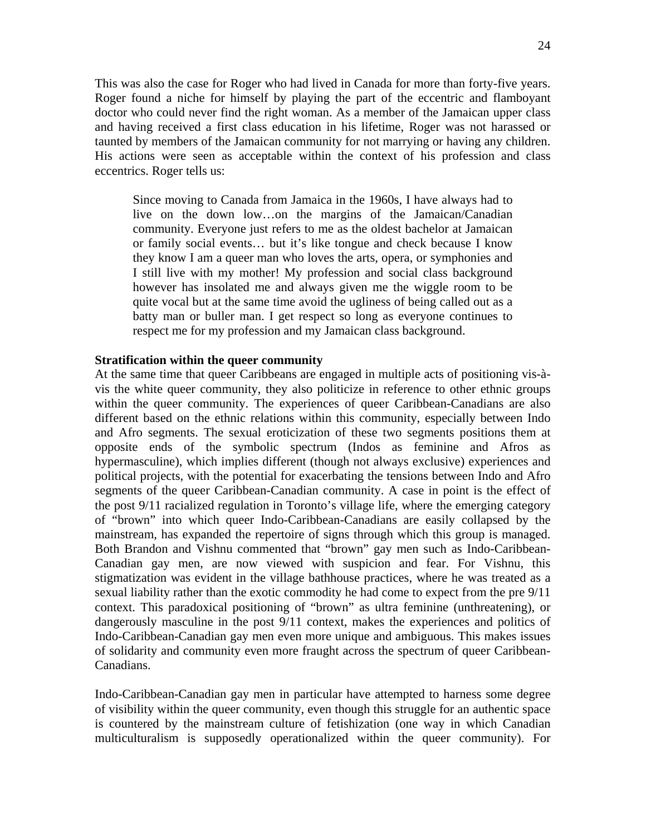This was also the case for Roger who had lived in Canada for more than forty-five years. Roger found a niche for himself by playing the part of the eccentric and flamboyant doctor who could never find the right woman. As a member of the Jamaican upper class and having received a first class education in his lifetime, Roger was not harassed or taunted by members of the Jamaican community for not marrying or having any children. His actions were seen as acceptable within the context of his profession and class eccentrics. Roger tells us:

Since moving to Canada from Jamaica in the 1960s, I have always had to live on the down low…on the margins of the Jamaican/Canadian community. Everyone just refers to me as the oldest bachelor at Jamaican or family social events… but it's like tongue and check because I know they know I am a queer man who loves the arts, opera, or symphonies and I still live with my mother! My profession and social class background however has insolated me and always given me the wiggle room to be quite vocal but at the same time avoid the ugliness of being called out as a batty man or buller man. I get respect so long as everyone continues to respect me for my profession and my Jamaican class background.

## **Stratification within the queer community**

At the same time that queer Caribbeans are engaged in multiple acts of positioning vis-àvis the white queer community, they also politicize in reference to other ethnic groups within the queer community. The experiences of queer Caribbean-Canadians are also different based on the ethnic relations within this community, especially between Indo and Afro segments. The sexual eroticization of these two segments positions them at opposite ends of the symbolic spectrum (Indos as feminine and Afros as hypermasculine), which implies different (though not always exclusive) experiences and political projects, with the potential for exacerbating the tensions between Indo and Afro segments of the queer Caribbean-Canadian community. A case in point is the effect of the post 9/11 racialized regulation in Toronto's village life, where the emerging category of "brown" into which queer Indo-Caribbean-Canadians are easily collapsed by the mainstream, has expanded the repertoire of signs through which this group is managed. Both Brandon and Vishnu commented that "brown" gay men such as Indo-Caribbean-Canadian gay men, are now viewed with suspicion and fear. For Vishnu, this stigmatization was evident in the village bathhouse practices, where he was treated as a sexual liability rather than the exotic commodity he had come to expect from the pre 9/11 context. This paradoxical positioning of "brown" as ultra feminine (unthreatening), or dangerously masculine in the post 9/11 context, makes the experiences and politics of Indo-Caribbean-Canadian gay men even more unique and ambiguous. This makes issues of solidarity and community even more fraught across the spectrum of queer Caribbean-Canadians.

Indo-Caribbean-Canadian gay men in particular have attempted to harness some degree of visibility within the queer community, even though this struggle for an authentic space is countered by the mainstream culture of fetishization (one way in which Canadian multiculturalism is supposedly operationalized within the queer community). For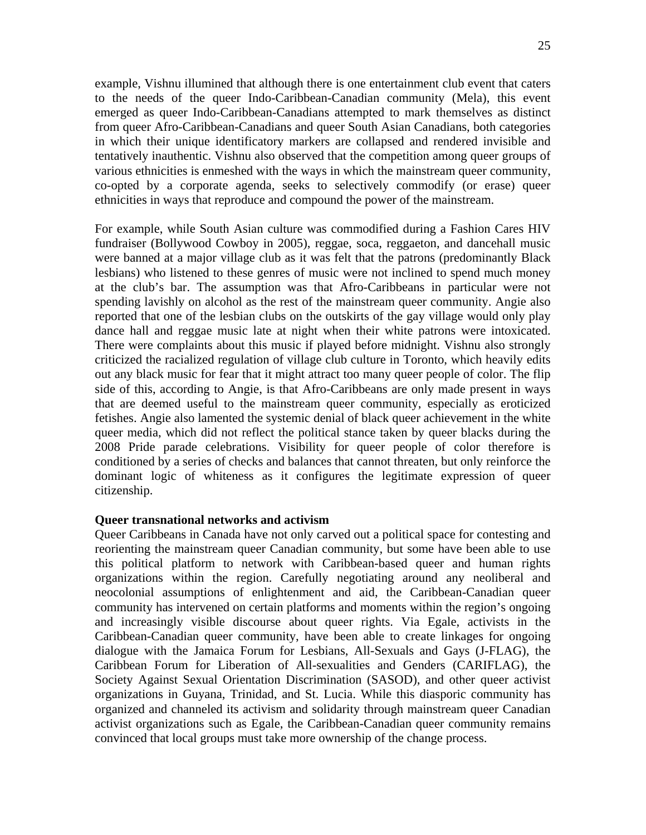example, Vishnu illumined that although there is one entertainment club event that caters to the needs of the queer Indo-Caribbean-Canadian community (Mela), this event emerged as queer Indo-Caribbean-Canadians attempted to mark themselves as distinct from queer Afro-Caribbean-Canadians and queer South Asian Canadians, both categories in which their unique identificatory markers are collapsed and rendered invisible and tentatively inauthentic. Vishnu also observed that the competition among queer groups of various ethnicities is enmeshed with the ways in which the mainstream queer community, co-opted by a corporate agenda, seeks to selectively commodify (or erase) queer ethnicities in ways that reproduce and compound the power of the mainstream.

For example, while South Asian culture was commodified during a Fashion Cares HIV fundraiser (Bollywood Cowboy in 2005), reggae, soca, reggaeton, and dancehall music were banned at a major village club as it was felt that the patrons (predominantly Black lesbians) who listened to these genres of music were not inclined to spend much money at the club's bar. The assumption was that Afro-Caribbeans in particular were not spending lavishly on alcohol as the rest of the mainstream queer community. Angie also reported that one of the lesbian clubs on the outskirts of the gay village would only play dance hall and reggae music late at night when their white patrons were intoxicated. There were complaints about this music if played before midnight. Vishnu also strongly criticized the racialized regulation of village club culture in Toronto, which heavily edits out any black music for fear that it might attract too many queer people of color. The flip side of this, according to Angie, is that Afro-Caribbeans are only made present in ways that are deemed useful to the mainstream queer community, especially as eroticized fetishes. Angie also lamented the systemic denial of black queer achievement in the white queer media, which did not reflect the political stance taken by queer blacks during the 2008 Pride parade celebrations. Visibility for queer people of color therefore is conditioned by a series of checks and balances that cannot threaten, but only reinforce the dominant logic of whiteness as it configures the legitimate expression of queer citizenship.

#### **Queer transnational networks and activism**

Queer Caribbeans in Canada have not only carved out a political space for contesting and reorienting the mainstream queer Canadian community, but some have been able to use this political platform to network with Caribbean-based queer and human rights organizations within the region. Carefully negotiating around any neoliberal and neocolonial assumptions of enlightenment and aid, the Caribbean-Canadian queer community has intervened on certain platforms and moments within the region's ongoing and increasingly visible discourse about queer rights. Via Egale, activists in the Caribbean-Canadian queer community, have been able to create linkages for ongoing dialogue with the Jamaica Forum for Lesbians, All-Sexuals and Gays (J-FLAG), the Caribbean Forum for Liberation of All-sexualities and Genders (CARIFLAG), the Society Against Sexual Orientation Discrimination (SASOD), and other queer activist organizations in Guyana, Trinidad, and St. Lucia. While this diasporic community has organized and channeled its activism and solidarity through mainstream queer Canadian activist organizations such as Egale, the Caribbean-Canadian queer community remains convinced that local groups must take more ownership of the change process.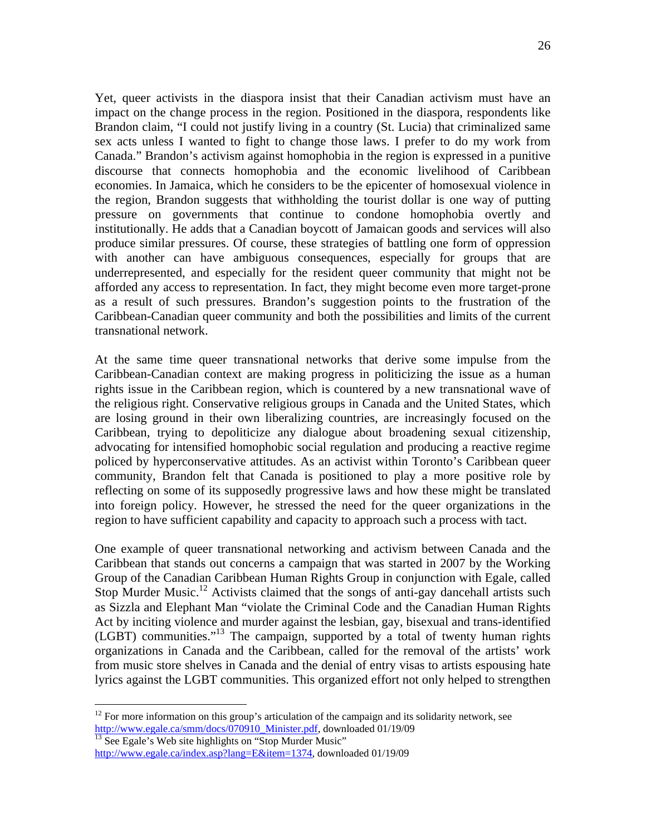Yet, queer activists in the diaspora insist that their Canadian activism must have an impact on the change process in the region. Positioned in the diaspora, respondents like Brandon claim, "I could not justify living in a country (St. Lucia) that criminalized same sex acts unless I wanted to fight to change those laws. I prefer to do my work from Canada." Brandon's activism against homophobia in the region is expressed in a punitive discourse that connects homophobia and the economic livelihood of Caribbean economies. In Jamaica, which he considers to be the epicenter of homosexual violence in the region, Brandon suggests that withholding the tourist dollar is one way of putting pressure on governments that continue to condone homophobia overtly and institutionally. He adds that a Canadian boycott of Jamaican goods and services will also produce similar pressures. Of course, these strategies of battling one form of oppression with another can have ambiguous consequences, especially for groups that are underrepresented, and especially for the resident queer community that might not be afforded any access to representation. In fact, they might become even more target-prone as a result of such pressures. Brandon's suggestion points to the frustration of the Caribbean-Canadian queer community and both the possibilities and limits of the current transnational network.

At the same time queer transnational networks that derive some impulse from the Caribbean-Canadian context are making progress in politicizing the issue as a human rights issue in the Caribbean region, which is countered by a new transnational wave of the religious right. Conservative religious groups in Canada and the United States, which are losing ground in their own liberalizing countries, are increasingly focused on the Caribbean, trying to depoliticize any dialogue about broadening sexual citizenship, advocating for intensified homophobic social regulation and producing a reactive regime policed by hyperconservative attitudes. As an activist within Toronto's Caribbean queer community, Brandon felt that Canada is positioned to play a more positive role by reflecting on some of its supposedly progressive laws and how these might be translated into foreign policy. However, he stressed the need for the queer organizations in the region to have sufficient capability and capacity to approach such a process with tact.

One example of queer transnational networking and activism between Canada and the Caribbean that stands out concerns a campaign that was started in 2007 by the Working Group of the Canadian Caribbean Human Rights Group in conjunction with Egale, called Stop Murder Music.<sup>12</sup> Activists claimed that the songs of anti-gay dancehall artists such as Sizzla and Elephant Man "violate the Criminal Code and the Canadian Human Rights Act by inciting violence and murder against the lesbian, gay, bisexual and trans-identified (LGBT) communities."13 The campaign, supported by a total of twenty human rights organizations in Canada and the Caribbean, called for the removal of the artists' work from music store shelves in Canada and the denial of entry visas to artists espousing hate lyrics against the LGBT communities. This organized effort not only helped to strengthen

<sup>13</sup> See Egale's Web site highlights on "Stop Murder Music"

 $\overline{a}$ 

<sup>&</sup>lt;sup>12</sup> For more information on this group's articulation of the campaign and its solidarity network, see http://www.egale.ca/smm/docs/070910\_Minister.pdf, downloaded 01/19/09

http://www.egale.ca/index.asp?lang=E&item=1374, downloaded 01/19/09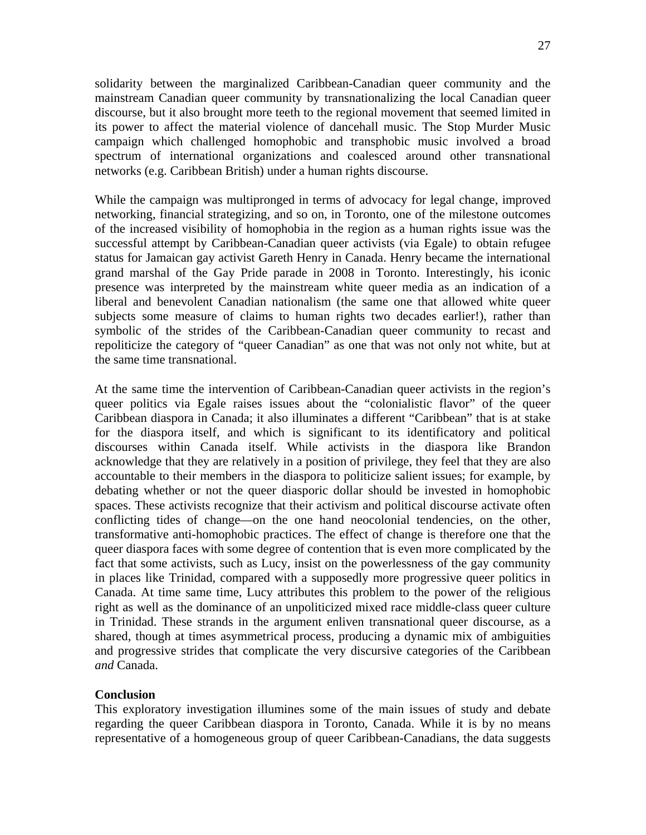27

solidarity between the marginalized Caribbean-Canadian queer community and the mainstream Canadian queer community by transnationalizing the local Canadian queer discourse, but it also brought more teeth to the regional movement that seemed limited in its power to affect the material violence of dancehall music. The Stop Murder Music campaign which challenged homophobic and transphobic music involved a broad spectrum of international organizations and coalesced around other transnational networks (e.g. Caribbean British) under a human rights discourse.

While the campaign was multipronged in terms of advocacy for legal change, improved networking, financial strategizing, and so on, in Toronto, one of the milestone outcomes of the increased visibility of homophobia in the region as a human rights issue was the successful attempt by Caribbean-Canadian queer activists (via Egale) to obtain refugee status for Jamaican gay activist Gareth Henry in Canada. Henry became the international grand marshal of the Gay Pride parade in 2008 in Toronto. Interestingly, his iconic presence was interpreted by the mainstream white queer media as an indication of a liberal and benevolent Canadian nationalism (the same one that allowed white queer subjects some measure of claims to human rights two decades earlier!), rather than symbolic of the strides of the Caribbean-Canadian queer community to recast and repoliticize the category of "queer Canadian" as one that was not only not white, but at the same time transnational.

At the same time the intervention of Caribbean-Canadian queer activists in the region's queer politics via Egale raises issues about the "colonialistic flavor" of the queer Caribbean diaspora in Canada; it also illuminates a different "Caribbean" that is at stake for the diaspora itself, and which is significant to its identificatory and political discourses within Canada itself. While activists in the diaspora like Brandon acknowledge that they are relatively in a position of privilege, they feel that they are also accountable to their members in the diaspora to politicize salient issues; for example, by debating whether or not the queer diasporic dollar should be invested in homophobic spaces. These activists recognize that their activism and political discourse activate often conflicting tides of change—on the one hand neocolonial tendencies, on the other, transformative anti-homophobic practices. The effect of change is therefore one that the queer diaspora faces with some degree of contention that is even more complicated by the fact that some activists, such as Lucy, insist on the powerlessness of the gay community in places like Trinidad, compared with a supposedly more progressive queer politics in Canada. At time same time, Lucy attributes this problem to the power of the religious right as well as the dominance of an unpoliticized mixed race middle-class queer culture in Trinidad. These strands in the argument enliven transnational queer discourse, as a shared, though at times asymmetrical process, producing a dynamic mix of ambiguities and progressive strides that complicate the very discursive categories of the Caribbean *and* Canada.

## **Conclusion**

This exploratory investigation illumines some of the main issues of study and debate regarding the queer Caribbean diaspora in Toronto, Canada. While it is by no means representative of a homogeneous group of queer Caribbean-Canadians, the data suggests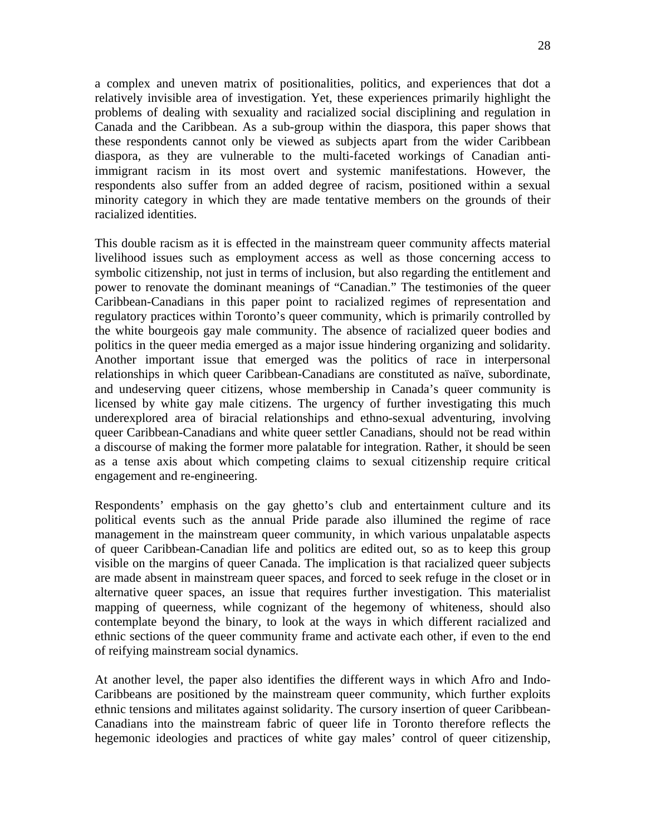28

a complex and uneven matrix of positionalities, politics, and experiences that dot a relatively invisible area of investigation. Yet, these experiences primarily highlight the problems of dealing with sexuality and racialized social disciplining and regulation in Canada and the Caribbean. As a sub-group within the diaspora, this paper shows that these respondents cannot only be viewed as subjects apart from the wider Caribbean diaspora, as they are vulnerable to the multi-faceted workings of Canadian antiimmigrant racism in its most overt and systemic manifestations. However, the respondents also suffer from an added degree of racism, positioned within a sexual minority category in which they are made tentative members on the grounds of their racialized identities.

This double racism as it is effected in the mainstream queer community affects material livelihood issues such as employment access as well as those concerning access to symbolic citizenship, not just in terms of inclusion, but also regarding the entitlement and power to renovate the dominant meanings of "Canadian." The testimonies of the queer Caribbean-Canadians in this paper point to racialized regimes of representation and regulatory practices within Toronto's queer community, which is primarily controlled by the white bourgeois gay male community. The absence of racialized queer bodies and politics in the queer media emerged as a major issue hindering organizing and solidarity. Another important issue that emerged was the politics of race in interpersonal relationships in which queer Caribbean-Canadians are constituted as naïve, subordinate, and undeserving queer citizens, whose membership in Canada's queer community is licensed by white gay male citizens. The urgency of further investigating this much underexplored area of biracial relationships and ethno-sexual adventuring, involving queer Caribbean-Canadians and white queer settler Canadians, should not be read within a discourse of making the former more palatable for integration. Rather, it should be seen as a tense axis about which competing claims to sexual citizenship require critical engagement and re-engineering.

Respondents' emphasis on the gay ghetto's club and entertainment culture and its political events such as the annual Pride parade also illumined the regime of race management in the mainstream queer community, in which various unpalatable aspects of queer Caribbean-Canadian life and politics are edited out, so as to keep this group visible on the margins of queer Canada. The implication is that racialized queer subjects are made absent in mainstream queer spaces, and forced to seek refuge in the closet or in alternative queer spaces, an issue that requires further investigation. This materialist mapping of queerness, while cognizant of the hegemony of whiteness, should also contemplate beyond the binary, to look at the ways in which different racialized and ethnic sections of the queer community frame and activate each other, if even to the end of reifying mainstream social dynamics.

At another level, the paper also identifies the different ways in which Afro and Indo-Caribbeans are positioned by the mainstream queer community, which further exploits ethnic tensions and militates against solidarity. The cursory insertion of queer Caribbean-Canadians into the mainstream fabric of queer life in Toronto therefore reflects the hegemonic ideologies and practices of white gay males' control of queer citizenship,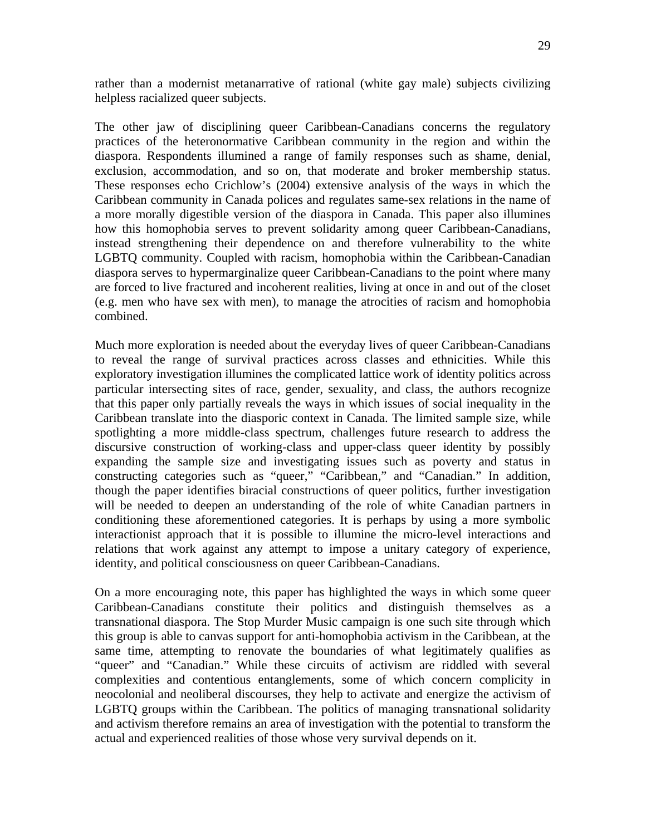rather than a modernist metanarrative of rational (white gay male) subjects civilizing helpless racialized queer subjects.

The other jaw of disciplining queer Caribbean-Canadians concerns the regulatory practices of the heteronormative Caribbean community in the region and within the diaspora. Respondents illumined a range of family responses such as shame, denial, exclusion, accommodation, and so on, that moderate and broker membership status. These responses echo Crichlow's (2004) extensive analysis of the ways in which the Caribbean community in Canada polices and regulates same-sex relations in the name of a more morally digestible version of the diaspora in Canada. This paper also illumines how this homophobia serves to prevent solidarity among queer Caribbean-Canadians, instead strengthening their dependence on and therefore vulnerability to the white LGBTQ community. Coupled with racism, homophobia within the Caribbean-Canadian diaspora serves to hypermarginalize queer Caribbean-Canadians to the point where many are forced to live fractured and incoherent realities, living at once in and out of the closet (e.g. men who have sex with men), to manage the atrocities of racism and homophobia combined.

Much more exploration is needed about the everyday lives of queer Caribbean-Canadians to reveal the range of survival practices across classes and ethnicities. While this exploratory investigation illumines the complicated lattice work of identity politics across particular intersecting sites of race, gender, sexuality, and class, the authors recognize that this paper only partially reveals the ways in which issues of social inequality in the Caribbean translate into the diasporic context in Canada. The limited sample size, while spotlighting a more middle-class spectrum, challenges future research to address the discursive construction of working-class and upper-class queer identity by possibly expanding the sample size and investigating issues such as poverty and status in constructing categories such as "queer," "Caribbean," and "Canadian." In addition, though the paper identifies biracial constructions of queer politics, further investigation will be needed to deepen an understanding of the role of white Canadian partners in conditioning these aforementioned categories. It is perhaps by using a more symbolic interactionist approach that it is possible to illumine the micro-level interactions and relations that work against any attempt to impose a unitary category of experience, identity, and political consciousness on queer Caribbean-Canadians.

On a more encouraging note, this paper has highlighted the ways in which some queer Caribbean-Canadians constitute their politics and distinguish themselves as a transnational diaspora. The Stop Murder Music campaign is one such site through which this group is able to canvas support for anti-homophobia activism in the Caribbean, at the same time, attempting to renovate the boundaries of what legitimately qualifies as "queer" and "Canadian." While these circuits of activism are riddled with several complexities and contentious entanglements, some of which concern complicity in neocolonial and neoliberal discourses, they help to activate and energize the activism of LGBTQ groups within the Caribbean. The politics of managing transnational solidarity and activism therefore remains an area of investigation with the potential to transform the actual and experienced realities of those whose very survival depends on it.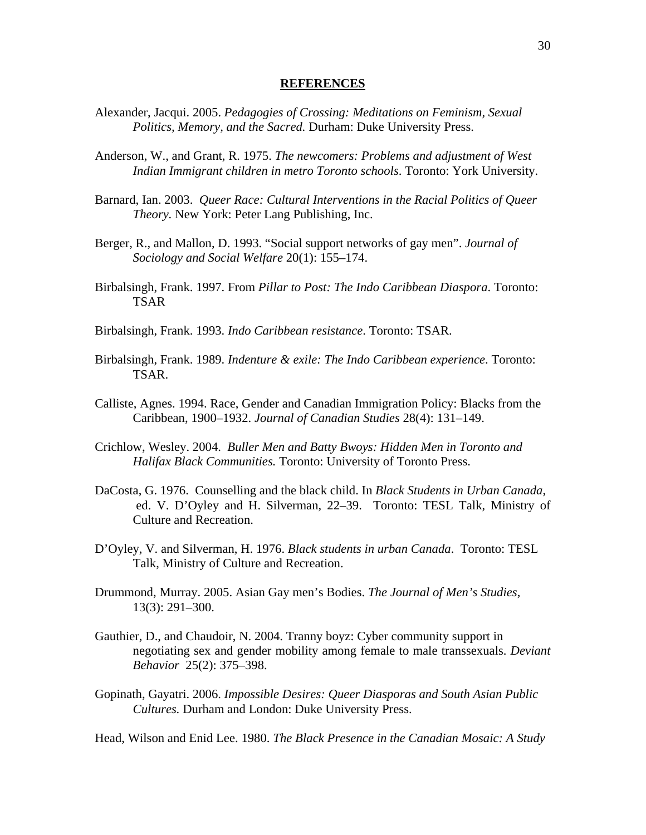#### **REFERENCES**

- Alexander, Jacqui. 2005. *Pedagogies of Crossing: Meditations on Feminism, Sexual Politics, Memory, and the Sacred.* Durham: Duke University Press.
- Anderson, W., and Grant, R. 1975. *The newcomers: Problems and adjustment of West Indian Immigrant children in metro Toronto schools*. Toronto: York University.
- Barnard, Ian. 2003. *Queer Race: Cultural Interventions in the Racial Politics of Queer Theory.* New York: Peter Lang Publishing, Inc.
- Berger, R., and Mallon, D. 1993. "Social support networks of gay men". *Journal of Sociology and Social Welfare* 20(1): 155–174.
- Birbalsingh, Frank. 1997. From *Pillar to Post: The Indo Caribbean Diaspora*. Toronto: TSAR
- Birbalsingh, Frank. 1993. *Indo Caribbean resistance*. Toronto: TSAR.
- Birbalsingh, Frank. 1989. *Indenture & exile: The Indo Caribbean experience*. Toronto: TSAR.
- Calliste, Agnes. 1994. Race, Gender and Canadian Immigration Policy: Blacks from the Caribbean, 1900–1932. *Journal of Canadian Studies* 28(4): 131–149.
- Crichlow, Wesley. 2004. *Buller Men and Batty Bwoys: Hidden Men in Toronto and Halifax Black Communities.* Toronto: University of Toronto Press.
- DaCosta, G. 1976. Counselling and the black child. In *Black Students in Urban Canada*, ed. V. D'Oyley and H. Silverman, 22–39. Toronto: TESL Talk, Ministry of Culture and Recreation.
- D'Oyley, V. and Silverman, H. 1976. *Black students in urban Canada*. Toronto: TESL Talk, Ministry of Culture and Recreation.
- Drummond, Murray. 2005. Asian Gay men's Bodies. *The Journal of Men's Studies*, 13(3): 291–300.
- Gauthier, D., and Chaudoir, N. 2004. Tranny boyz: Cyber community support in negotiating sex and gender mobility among female to male transsexuals. *Deviant Behavior* 25(2): 375–398.
- Gopinath, Gayatri. 2006. *Impossible Desires: Queer Diasporas and South Asian Public Cultures.* Durham and London: Duke University Press.

Head, Wilson and Enid Lee. 1980. *The Black Presence in the Canadian Mosaic: A Study*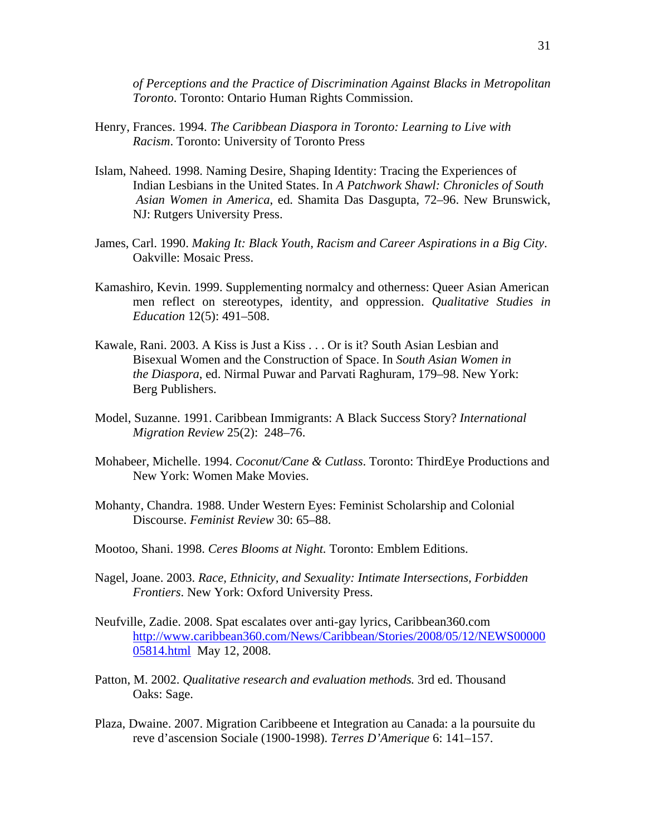*of Perceptions and the Practice of Discrimination Against Blacks in Metropolitan Toronto*. Toronto: Ontario Human Rights Commission.

- Henry, Frances. 1994. *The Caribbean Diaspora in Toronto: Learning to Live with Racism*. Toronto: University of Toronto Press
- Islam, Naheed. 1998. Naming Desire, Shaping Identity: Tracing the Experiences of Indian Lesbians in the United States. In *A Patchwork Shawl: Chronicles of South Asian Women in America*, ed. Shamita Das Dasgupta, 72–96. New Brunswick, NJ: Rutgers University Press.
- James, Carl. 1990. *Making It: Black Youth, Racism and Career Aspirations in a Big City*. Oakville: Mosaic Press.
- Kamashiro, Kevin. 1999. Supplementing normalcy and otherness: Queer Asian American men reflect on stereotypes, identity, and oppression. *Qualitative Studies in Education* 12(5): 491–508.
- Kawale, Rani. 2003. A Kiss is Just a Kiss . . . Or is it? South Asian Lesbian and Bisexual Women and the Construction of Space. In *South Asian Women in the Diaspora*, ed. Nirmal Puwar and Parvati Raghuram, 179–98. New York: Berg Publishers.
- Model, Suzanne. 1991. Caribbean Immigrants: A Black Success Story? *International Migration Review* 25(2): 248–76.
- Mohabeer, Michelle. 1994. *Coconut/Cane & Cutlass*. Toronto: ThirdEye Productions and New York: Women Make Movies.
- Mohanty, Chandra. 1988. Under Western Eyes: Feminist Scholarship and Colonial Discourse. *Feminist Review* 30: 65–88.
- Mootoo, Shani. 1998. *Ceres Blooms at Night.* Toronto: Emblem Editions.
- Nagel, Joane. 2003. *Race, Ethnicity, and Sexuality: Intimate Intersections, Forbidden Frontiers*. New York: Oxford University Press.
- Neufville, Zadie. 2008. Spat escalates over anti-gay lyrics, Caribbean360.com http://www.caribbean360.com/News/Caribbean/Stories/2008/05/12/NEWS00000 05814.html May 12, 2008.
- Patton, M. 2002. *Qualitative research and evaluation methods.* 3rd ed. Thousand Oaks: Sage.
- Plaza, Dwaine. 2007. Migration Caribbeene et Integration au Canada: a la poursuite du reve d'ascension Sociale (1900-1998). *Terres D'Amerique* 6: 141–157.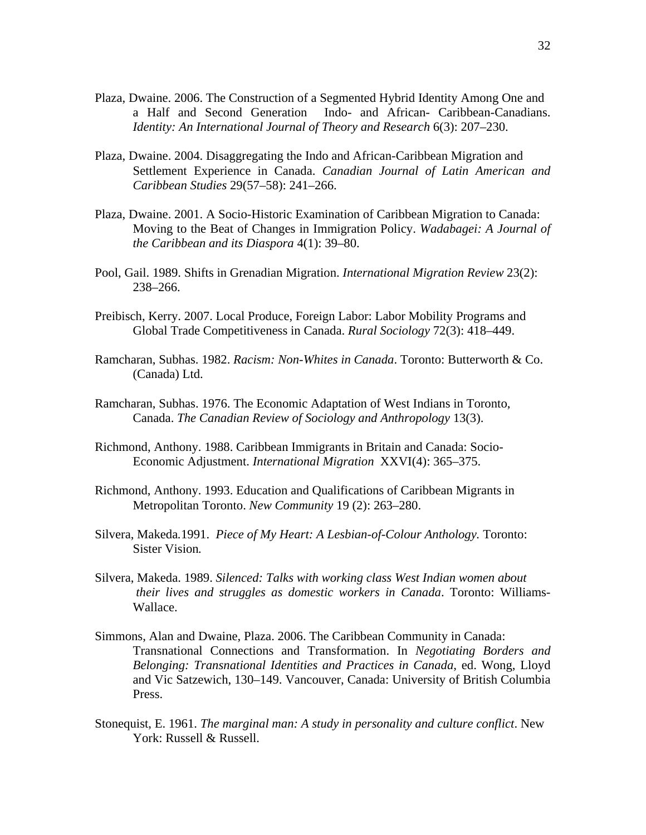- Plaza, Dwaine. 2006. The Construction of a Segmented Hybrid Identity Among One and a Half and Second Generation Indo- and African- Caribbean-Canadians. *Identity: An International Journal of Theory and Research* 6(3): 207–230.
- Plaza, Dwaine. 2004. Disaggregating the Indo and African-Caribbean Migration and Settlement Experience in Canada. *Canadian Journal of Latin American and Caribbean Studies* 29(57–58): 241–266.
- Plaza, Dwaine. 2001. A Socio-Historic Examination of Caribbean Migration to Canada: Moving to the Beat of Changes in Immigration Policy. *Wadabagei: A Journal of the Caribbean and its Diaspora* 4(1): 39–80.
- Pool, Gail. 1989. Shifts in Grenadian Migration. *International Migration Review* 23(2): 238–266.
- Preibisch, Kerry. 2007. Local Produce, Foreign Labor: Labor Mobility Programs and Global Trade Competitiveness in Canada. *Rural Sociology* 72(3): 418–449.
- Ramcharan, Subhas. 1982. *Racism: Non-Whites in Canada*. Toronto: Butterworth & Co. (Canada) Ltd.
- Ramcharan, Subhas. 1976. The Economic Adaptation of West Indians in Toronto, Canada. *The Canadian Review of Sociology and Anthropology* 13(3).
- Richmond, Anthony. 1988. Caribbean Immigrants in Britain and Canada: Socio-Economic Adjustment. *International Migration* XXVI(4): 365–375.
- Richmond, Anthony. 1993. Education and Qualifications of Caribbean Migrants in Metropolitan Toronto. *New Community* 19 (2): 263–280.
- Silvera, Makeda*.*1991. *Piece of My Heart: A Lesbian-of-Colour Anthology.* Toronto: Sister Vision*.*
- Silvera, Makeda. 1989. *Silenced: Talks with working class West Indian women about their lives and struggles as domestic workers in Canada*. Toronto: Williams-Wallace.
- Simmons, Alan and Dwaine, Plaza. 2006. The Caribbean Community in Canada: Transnational Connections and Transformation. In *Negotiating Borders and Belonging: Transnational Identities and Practices in Canada*, ed. Wong, Lloyd and Vic Satzewich, 130–149. Vancouver, Canada: University of British Columbia Press.
- Stonequist, E. 1961. *The marginal man: A study in personality and culture conflict*. New York: Russell & Russell.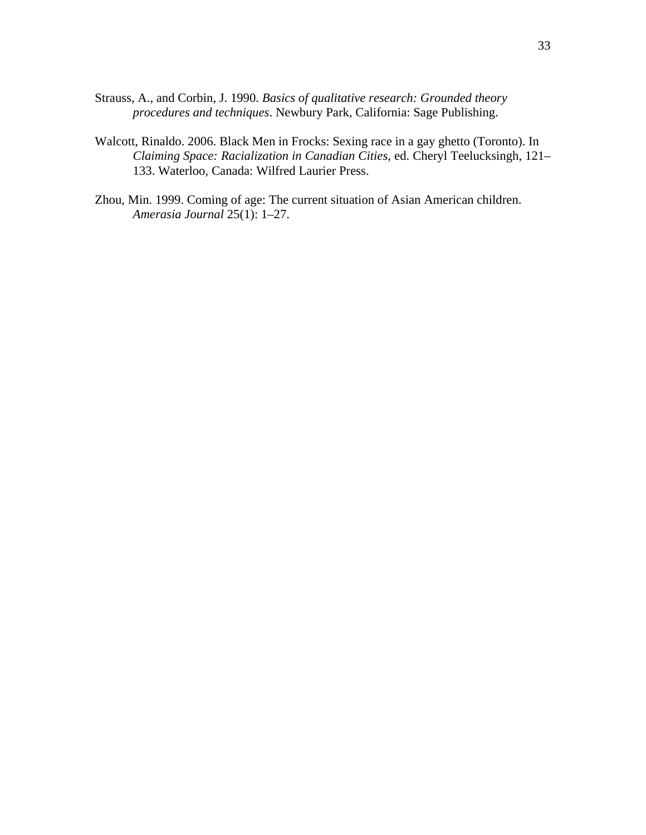- Strauss, A., and Corbin, J. 1990. *Basics of qualitative research: Grounded theory procedures and techniques*. Newbury Park, California: Sage Publishing.
- Walcott, Rinaldo. 2006. Black Men in Frocks: Sexing race in a gay ghetto (Toronto). In *Claiming Space: Racialization in Canadian Cities*, ed. Cheryl Teelucksingh, 121– 133. Waterloo, Canada: Wilfred Laurier Press.
- Zhou, Min. 1999. Coming of age: The current situation of Asian American children. *Amerasia Journal* 25(1): 1–27.